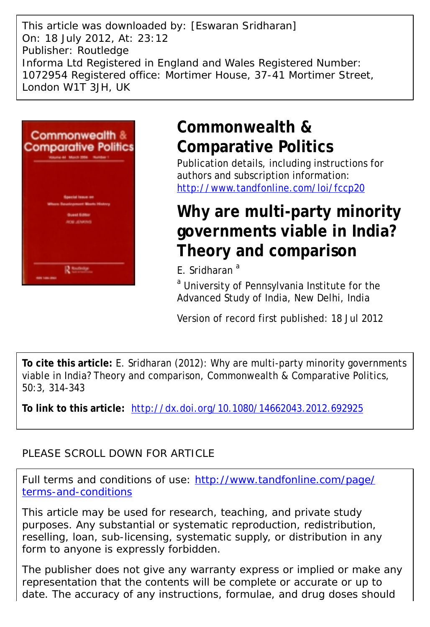This article was downloaded by: [Eswaran Sridharan] On: 18 July 2012, At: 23:12 Publisher: Routledge Informa Ltd Registered in England and Wales Registered Number: 1072954 Registered office: Mortimer House, 37-41 Mortimer Street, London W1T 3JH, UK



# **Commonwealth & Comparative Politics**

Publication details, including instructions for authors and subscription information: <http://www.tandfonline.com/loi/fccp20>

# **Why are multi-party minority governments viable in India? Theory and comparison**

E. Sridharan<sup>a</sup>

<sup>a</sup> University of Pennsylvania Institute for the Advanced Study of India, New Delhi, India

Version of record first published: 18 Jul 2012

**To cite this article:** E. Sridharan (2012): Why are multi-party minority governments viable in India? Theory and comparison, Commonwealth & Comparative Politics, 50:3, 314-343

**To link to this article:** <http://dx.doi.org/10.1080/14662043.2012.692925>

# PLEASE SCROLL DOWN FOR ARTICLE

Full terms and conditions of use: [http://www.tandfonline.com/page/](http://www.tandfonline.com/page/terms-and-conditions) [terms-and-conditions](http://www.tandfonline.com/page/terms-and-conditions)

This article may be used for research, teaching, and private study purposes. Any substantial or systematic reproduction, redistribution, reselling, loan, sub-licensing, systematic supply, or distribution in any form to anyone is expressly forbidden.

The publisher does not give any warranty express or implied or make any representation that the contents will be complete or accurate or up to date. The accuracy of any instructions, formulae, and drug doses should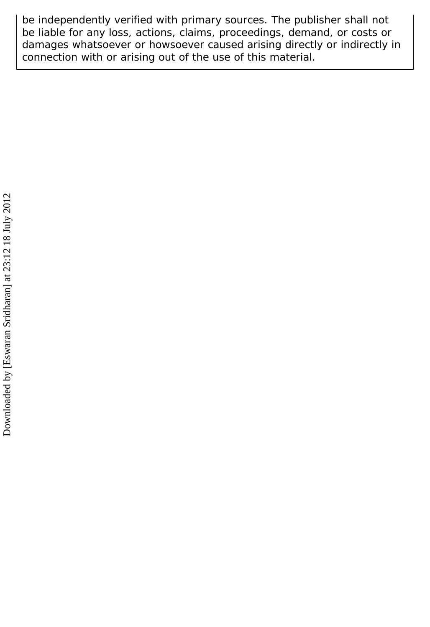be independently verified with primary sources. The publisher shall not be liable for any loss, actions, claims, proceedings, demand, or costs or damages whatsoever or howsoever caused arising directly or indirectly in connection with or arising out of the use of this material.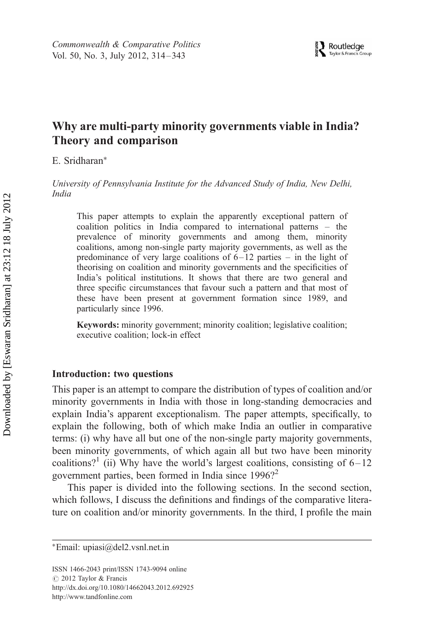# Why are multi-party minority governments viable in India? Theory and comparison

E. Sridharan<sup>∗</sup>

University of Pennsylvania Institute for the Advanced Study of India, New Delhi, India

This paper attempts to explain the apparently exceptional pattern of coalition politics in India compared to international patterns – the prevalence of minority governments and among them, minority coalitions, among non-single party majority governments, as well as the predominance of very large coalitions of 6–12 parties – in the light of theorising on coalition and minority governments and the specificities of India's political institutions. It shows that there are two general and three specific circumstances that favour such a pattern and that most of these have been present at government formation since 1989, and particularly since 1996.

Keywords: minority government; minority coalition; legislative coalition; executive coalition; lock-in effect

#### Introduction: two questions

This paper is an attempt to compare the distribution of types of coalition and/or minority governments in India with those in long-standing democracies and explain India's apparent exceptionalism. The paper attempts, specifically, to explain the following, both of which make India an outlier in comparative terms: (i) why have all but one of the non-single party majority governments, been minority governments, of which again all but two have been minority coalitions?<sup>1</sup> (ii) Why have the world's largest coalitions, consisting of  $6 - 12$ government parties, been formed in India since  $1996$ ?<sup>2</sup>

This paper is divided into the following sections. In the second section, which follows, I discuss the definitions and findings of the comparative literature on coalition and/or minority governments. In the third, I profile the main

ISSN 1466-2043 print/ISSN 1743-9094 online C 2012 Taylor & Francis http://dx.doi.org/10.1080/14662043.2012.692925 http://www.tandfonline.com

<sup>∗</sup>Email: upiasi@del2.vsnl.net.in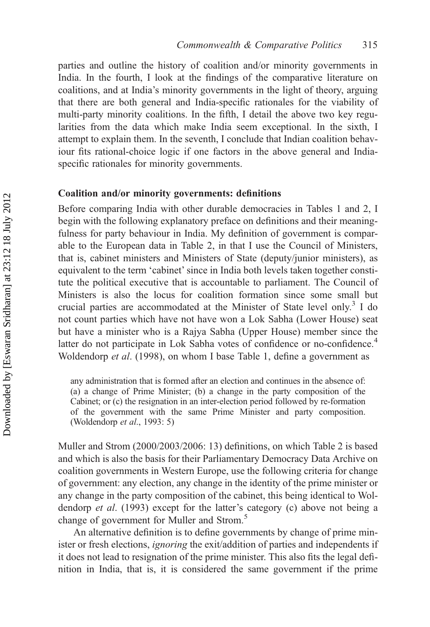parties and outline the history of coalition and/or minority governments in India. In the fourth, I look at the findings of the comparative literature on coalitions, and at India's minority governments in the light of theory, arguing that there are both general and India-specific rationales for the viability of multi-party minority coalitions. In the fifth, I detail the above two key regularities from the data which make India seem exceptional. In the sixth, I attempt to explain them. In the seventh, I conclude that Indian coalition behaviour fits rational-choice logic if one factors in the above general and Indiaspecific rationales for minority governments.

#### Coalition and/or minority governments: definitions

Before comparing India with other durable democracies in Tables 1 and 2, I begin with the following explanatory preface on definitions and their meaningfulness for party behaviour in India. My definition of government is comparable to the European data in Table 2, in that I use the Council of Ministers, that is, cabinet ministers and Ministers of State (deputy/junior ministers), as equivalent to the term 'cabinet' since in India both levels taken together constitute the political executive that is accountable to parliament. The Council of Ministers is also the locus for coalition formation since some small but crucial parties are accommodated at the Minister of State level only.<sup>3</sup> I do not count parties which have not have won a Lok Sabha (Lower House) seat but have a minister who is a Rajya Sabha (Upper House) member since the latter do not participate in Lok Sabha votes of confidence or no-confidence.<sup>4</sup> Woldendorp et al. (1998), on whom I base Table 1, define a government as

any administration that is formed after an election and continues in the absence of: (a) a change of Prime Minister; (b) a change in the party composition of the Cabinet; or (c) the resignation in an inter-election period followed by re-formation of the government with the same Prime Minister and party composition. (Woldendorp et al., 1993: 5)

Muller and Strom (2000/2003/2006: 13) definitions, on which Table 2 is based and which is also the basis for their Parliamentary Democracy Data Archive on coalition governments in Western Europe, use the following criteria for change of government: any election, any change in the identity of the prime minister or any change in the party composition of the cabinet, this being identical to Woldendorp et al. (1993) except for the latter's category (c) above not being a change of government for Muller and Strom.<sup>5</sup>

An alternative definition is to define governments by change of prime minister or fresh elections, ignoring the exit/addition of parties and independents if it does not lead to resignation of the prime minister. This also fits the legal definition in India, that is, it is considered the same government if the prime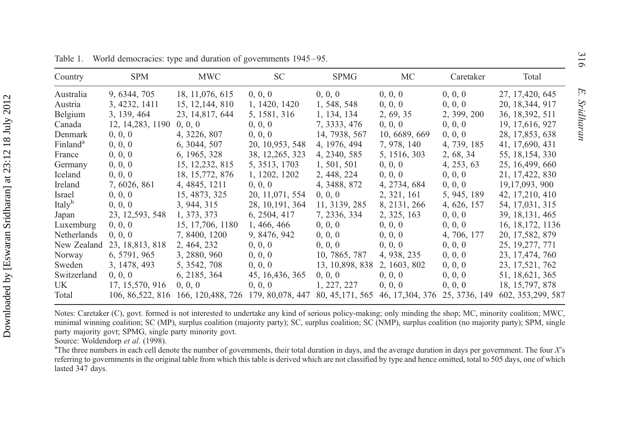| Country              | <b>SPM</b>        | <b>MWC</b>                                             | SC.              | SPMG            | MC                                | Caretaker     | Total              |
|----------------------|-------------------|--------------------------------------------------------|------------------|-----------------|-----------------------------------|---------------|--------------------|
| Australia            | 9, 6344, 705      | 18, 11,076, 615                                        | 0, 0, 0          | 0, 0, 0         | 0, 0, 0                           | 0, 0, 0       | 27, 17, 420, 645   |
| Austria              | 3, 4232, 1411     | 15, 12, 144, 810                                       | 1, 1420, 1420    | 1, 548, 548     | 0, 0, 0                           | 0, 0, 0       | 20, 18, 344, 917   |
| Belgium              | 3, 139, 464       | 23, 14, 817, 644                                       | 5, 1581, 316     | 1, 134, 134     | 2, 69, 35                         | 2, 399, 200   | 36, 18, 392, 511   |
| Canada               | 12, 14, 283, 1190 | 0, 0, 0                                                | 0, 0, 0          | 7, 3333, 476    | 0, 0, 0                           | 0, 0, 0       | 19, 17, 616, 927   |
| Denmark              | 0, 0, 0           | 4, 3226, 807                                           | 0, 0, 0          | 14, 7938, 567   | 10, 6689, 669                     | 0, 0, 0       | 28, 17,853, 638    |
| Finland <sup>a</sup> | 0, 0, 0           | 6, 3044, 507                                           | 20, 10, 953, 548 | 4, 1976, 494    | 7, 978, 140                       | 4, 739, 185   | 41, 17,690, 431    |
| France               | 0, 0, 0           | 6, 1965, 328                                           | 38, 12, 265, 323 | 4, 2340, 585    | 5, 1516, 303                      | 2, 68, 34     | 55, 18, 154, 330   |
| Germany              | 0, 0, 0           | 15, 12, 232, 815                                       | 5, 3513, 1703    | 1, 501, 501     | 0, 0, 0                           | 4, 253, 63    | 25, 16, 499, 660   |
| Iceland              | 0, 0, 0           | 18, 15, 772, 876                                       | 1, 1202, 1202    | 2, 448, 224     | 0, 0, 0                           | 0, 0, 0       | 21, 17, 422, 830   |
| Ireland              | 7, 6026, 861      | 4, 4845, 1211                                          | 0, 0, 0          | 4, 3488, 872    | 4, 2734, 684                      | 0, 0, 0       | 19, 17, 093, 900   |
| Israel               | 0, 0, 0           | 15, 4873, 325                                          | 20, 11,071, 554  | 0, 0, 0         | 2, 321, 161                       | 5, 945, 189   | 42, 17, 210, 410   |
| Italy <sup>b</sup>   | 0, 0, 0           | 3, 944, 315                                            | 28, 10, 191, 364 | 11, 3139, 285   | 8, 2131, 266                      | 4, 626, 157   | 54, 17,031, 315    |
| Japan                | 23, 12, 593, 548  | 1, 373, 373                                            | 6, 2504, 417     | 7, 2336, 334    | 2, 325, 163                       | 0, 0, 0       | 39, 18, 131, 465   |
| Luxemburg            | 0, 0, 0           | 15, 17, 706, 1180                                      | 1, 466, 466      | 0, 0, 0         | 0, 0, 0                           | 0, 0, 0       | 16, 18, 172, 1136  |
| Netherlands          | 0, 0, 0           | 7, 8400, 1200                                          | 9, 8476, 942     | 0, 0, 0         | 0, 0, 0                           | 4, 706, 177   | 20, 17, 582, 879   |
| New Zealand          | 23, 18, 813, 818  | 2, 464, 232                                            | 0, 0, 0          | 0, 0, 0         | 0, 0, 0                           | 0, 0, 0       | 25, 19, 277, 771   |
| Norway               | 6, 5791, 965      | 3, 2880, 960                                           | 0, 0, 0          | 10, 7865, 787   | 4, 938, 235                       | 0, 0, 0       | 23, 17, 474, 760   |
| Sweden               | 3, 1478, 493      | 5, 3542, 708                                           | 0, 0, 0          | 13, 10,898, 838 | 2, 1603, 802                      | 0, 0, 0       | 23, 17, 521, 762   |
| Switzerland          | 0, 0, 0           | 6, 2185, 364                                           | 45, 16, 436, 365 | 0, 0, 0         | 0, 0, 0                           | 0, 0, 0       | 51, 18, 621, 365   |
| UK.                  | 17, 15,570, 916   | 0, 0, 0                                                | 0, 0, 0          | 1, 227, 227     | 0, 0, 0                           | 0, 0, 0       | 18, 15, 797, 878   |
| Total                |                   | 106, 86, 522, 816 166, 120, 488, 726 179, 80, 078, 447 |                  |                 | 80, 45, 171, 565 46, 17, 304, 376 | 25, 3736, 149 | 602, 353, 299, 587 |

Table 1. World democracies: type and duration of governments 1945–95.

Notes: Caretaker (C), govt. formed is not interested to undertake any kind of serious policy-making; only minding the shop; MC, minority coalition; MWC, minimal winning coalition; SC (MP), surplus coalition (majority party); SC, surplus coalition; SC (NMP), surplus coalition (no majority party); SPM, single party majority govt; SPMG, single party minority govt.

Source: Woldendorp et al. (1998).

<sup>a</sup>The three numbers in each cell denote the number of governments, their total duration in days, and the average duration in days per government. The four  $X$ 's referring to governments in the original table from which this table is derived which are not classified by type and hence omitted, total to 505 days, one of which lasted 347 days.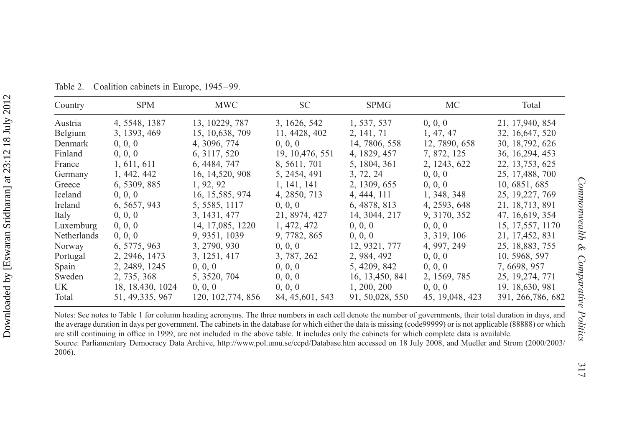| Country     | <b>SPM</b>        | <b>MWC</b>         | SC.              | <b>SPMG</b>      | МC               | Total              |
|-------------|-------------------|--------------------|------------------|------------------|------------------|--------------------|
| Austria     | 4, 5548, 1387     | 13, 10229, 787     | 3, 1626, 542     | 1, 537, 537      | 0, 0, 0          | 21, 17,940, 854    |
| Belgium     | 3, 1393, 469      | 15, 10, 638, 709   | 11, 4428, 402    | 2, 141, 71       | 1, 47, 47        | 32, 16, 647, 520   |
| Denmark     | 0, 0, 0           | 4, 3096, 774       | 0, 0, 0          | 14, 7806, 558    | 12, 7890, 658    | 30, 18,792, 626    |
| Finland     | 0, 0, 0           | 6, 3117, 520       | 19, 10, 476, 551 | 4, 1829, 457     | 7, 872, 125      | 36, 16, 294, 453   |
| France      | 1, 611, 611       | 6, 4484, 747       | 8, 5611, 701     | 5, 1804, 361     | 2, 1243, 622     | 22, 13, 753, 625   |
| Germany     | 1, 442, 442       | 16, 14, 520, 908   | 5, 2454, 491     | 3, 72, 24        | 0, 0, 0          | 25, 17, 488, 700   |
| Greece      | 6, 5309, 885      | 1, 92, 92          | 1, 141, 141      | 2, 1309, 655     | 0, 0, 0          | 10, 6851, 685      |
| Iceland     | 0, 0, 0           | 16, 15, 585, 974   | 4, 2850, 713     | 4, 444, 111      | 1, 348, 348      | 25, 19, 227, 769   |
| Ireland     | 6, 5657, 943      | 5, 5585, 1117      | 0, 0, 0          | 6, 4878, 813     | 4, 2593, 648     | 21, 18, 713, 891   |
| Italy       | 0, 0, 0           | 3, 1431, 477       | 21, 8974, 427    | 14, 3044, 217    | 9, 3170, 352     | 47, 16, 619, 354   |
| Luxemburg   | 0, 0, 0           | 14, 17,085, 1220   | 1, 472, 472      | 0, 0, 0          | 0, 0, 0          | 15, 17,557, 1170   |
| Netherlands | 0, 0, 0           | 9, 9351, 1039      | 9, 7782, 865     | 0, 0, 0          | 3, 319, 106      | 21, 17, 452, 831   |
| Norway      | 6, 5775, 963      | 3, 2790, 930       | 0, 0, 0          | 12, 9321, 777    | 4, 997, 249      | 25, 18,883, 755    |
| Portugal    | 2, 2946, 1473     | 3, 1251, 417       | 3, 787, 262      | 2, 984, 492      | 0, 0, 0          | 10, 5968, 597      |
| Spain       | 2, 2489, 1245     | 0, 0, 0            | 0, 0, 0          | 5, 4209, 842     | 0, 0, 0          | 7, 6698, 957       |
| Sweden      | 2, 735, 368       | 5, 3520, 704       | 0, 0, 0          | 16, 13, 450, 841 | 2, 1569, 785     | 25, 19, 274, 771   |
| UK.         | 18, 18, 430, 1024 | 0, 0, 0            | 0, 0, 0          | 1, 200, 200      | 0, 0, 0          | 19, 18, 630, 981   |
| Total       | 51, 49, 335, 967  | 120, 102, 774, 856 | 84, 45, 601, 543 | 91, 50, 028, 550 | 45, 19, 048, 423 | 391, 266, 786, 682 |

Table 2. Coalition cabinets in Europe, 1945–99.

Notes: See notes to Table 1 for column heading acronyms. The three numbers in each cell denote the number of governments, their total duration in days, and the average duration in days per government. The cabinets in the database for which either the data is missing (code99999) or is not applicable (88888) or which are still continuing in office in 1999, are not included in the above table. It includes only the cabinets for which complete data is available. Source: Parliamentary Democracy Data Archive, <http://www.pol.umu.se/ccpd/Database.htm> accessed on 18 July 2008, and Mueller and Strom (2000/2003/ 2006).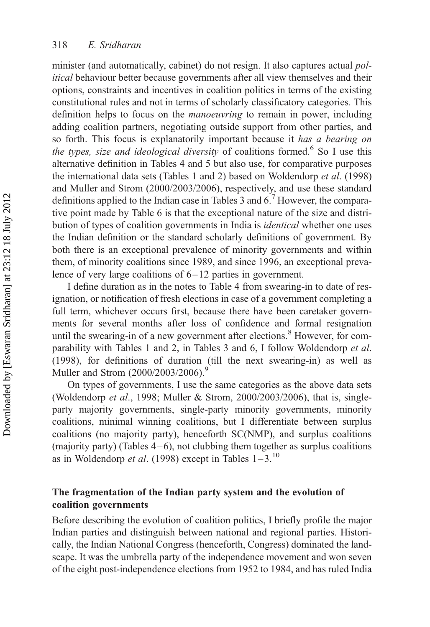minister (and automatically, cabinet) do not resign. It also captures actual *pol*itical behaviour better because governments after all view themselves and their options, constraints and incentives in coalition politics in terms of the existing constitutional rules and not in terms of scholarly classificatory categories. This definition helps to focus on the manoeuvring to remain in power, including adding coalition partners, negotiating outside support from other parties, and so forth. This focus is explanatorily important because it has a bearing on the types, size and ideological diversity of coalitions formed.<sup>6</sup> So I use this alternative definition in Tables 4 and 5 but also use, for comparative purposes the international data sets (Tables 1 and 2) based on Woldendorp et al. (1998) and Muller and Strom (2000/2003/2006), respectively, and use these standard definitions applied to the Indian case in Tables 3 and  $6<sup>7</sup>$  However, the comparative point made by Table 6 is that the exceptional nature of the size and distribution of types of coalition governments in India is identical whether one uses the Indian definition or the standard scholarly definitions of government. By both there is an exceptional prevalence of minority governments and within them, of minority coalitions since 1989, and since 1996, an exceptional prevalence of very large coalitions of  $6 - 12$  parties in government.

I define duration as in the notes to Table 4 from swearing-in to date of resignation, or notification of fresh elections in case of a government completing a full term, whichever occurs first, because there have been caretaker governments for several months after loss of confidence and formal resignation until the swearing-in of a new government after elections.<sup>8</sup> However, for comparability with Tables 1 and 2, in Tables 3 and 6, I follow Woldendorp et al. (1998), for definitions of duration (till the next swearing-in) as well as Muller and Strom (2000/2003/2006).<sup>9</sup>

On types of governments, I use the same categories as the above data sets (Woldendorp et al., 1998; Muller & Strom, 2000/2003/2006), that is, singleparty majority governments, single-party minority governments, minority coalitions, minimal winning coalitions, but I differentiate between surplus coalitions (no majority party), henceforth SC(NMP), and surplus coalitions (majority party) (Tables  $4-6$ ), not clubbing them together as surplus coalitions as in Woldendorp *et al.* (1998) except in Tables  $1-3$ .<sup>10</sup>

## The fragmentation of the Indian party system and the evolution of coalition governments

Before describing the evolution of coalition politics, I briefly profile the major Indian parties and distinguish between national and regional parties. Historically, the Indian National Congress (henceforth, Congress) dominated the landscape. It was the umbrella party of the independence movement and won seven of the eight post-independence elections from 1952 to 1984, and has ruled India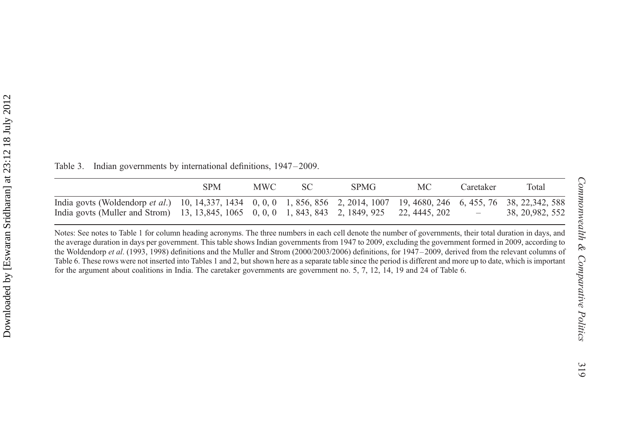SPM MWC SC SPMG MC Caretaker Total India govts (Woldendorp et al.) 10, 14,337, 1434 0, 0, 0 1, 856, 856 2, 2014, 1007 19, 4680, 246 6, 455, 76 38, 22,342, 588 India govts (Muller and Strom) 13, 13,845, 1065 0, 0, 0 1, 843, 843 2, 1849, 925 22, 4445, 202 – 38, 20,982, 552

Table 3. Indian governments by international definitions, 1947–2009.

Notes: See notes to Table 1 for column heading acronyms. The three numbers in each cell denote the number of governments, their total duration in days, and the average duration in days per government. This table shows Indian governments from 1947 to 2009, excluding the governmen<sup>t</sup> formed in 2009, according to the Woldendorp et al. (1993, 1998) definitions and the Muller and Strom (2000/2003/2006) definitions, for 1947–2009, derived from the relevant columns of Table 6. These rows were not inserted into Tables 1 and 2, but shown here as <sup>a</sup> separate table since the period is different and more up to date, which is important for the argumen<sup>t</sup> about coalitions in India. The caretaker governments are governmen<sup>t</sup> no. 5, 7, 12, 14, 19 and 24 of Table 6.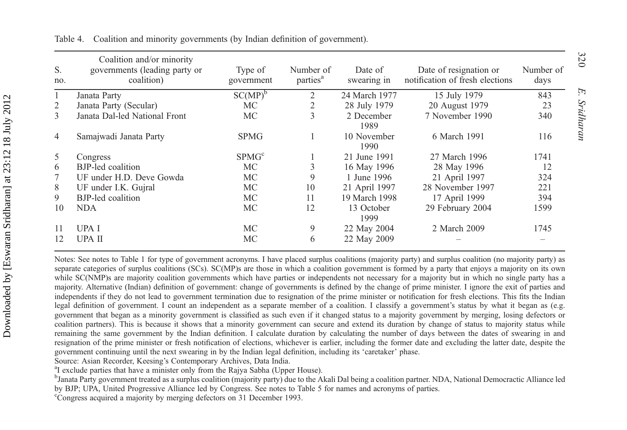| S.<br>no. | Coalition and/or minority<br>governments (leading party or<br>coalition) | Type of<br>government | Number of<br>parties <sup>a</sup> | Date of<br>swearing in | Date of resignation or<br>notification of fresh elections | Number of<br>days |
|-----------|--------------------------------------------------------------------------|-----------------------|-----------------------------------|------------------------|-----------------------------------------------------------|-------------------|
|           | Janata Party                                                             | $SC(MP)^b$            | 2                                 | 24 March 1977          | 15 July 1979                                              | 843               |
| 2         | Janata Party (Secular)                                                   | МC                    | 2                                 | 28 July 1979           | 20 August 1979                                            | 23                |
| 3         | Janata Dal-led National Front                                            | МC                    | 3                                 | 2 December<br>1989     | 7 November 1990                                           | 340               |
| 4         | Samajwadi Janata Party                                                   | <b>SPMG</b>           |                                   | 10 November<br>1990    | 6 March 1991                                              | 116               |
| 5.        | Congress                                                                 | SPMG <sup>c</sup>     |                                   | 21 June 1991           | 27 March 1996                                             | 1741              |
| 6         | BJP-led coalition                                                        | МC                    | 3                                 | 16 May 1996            | 28 May 1996                                               | 12                |
|           | UF under H.D. Deve Gowda                                                 | МC                    | 9                                 | 1 June 1996            | 21 April 1997                                             | 324               |
| 8         | UF under I.K. Gujral                                                     | МC                    | 10                                | 21 April 1997          | 28 November 1997                                          | 221               |
| 9         | <b>BJP-led</b> coalition                                                 | МC                    | 11                                | 19 March 1998          | 17 April 1999                                             | 394               |
| 10        | NDA                                                                      | МC                    | 12                                | 13 October<br>1999     | 29 February 2004                                          | 1599              |
| 11        | UPA I                                                                    | МC                    | 9                                 | 22 May 2004            | 2 March 2009                                              | 1745              |
| 12        | UPA II                                                                   | МC                    | 6                                 | 22 May 2009            |                                                           |                   |

Table 4. Coalition and minority governments (by Indian definition of government).

Notes: See notes to Table 1 for type of governmen<sup>t</sup> acronyms. I have placed surplus coalitions (majority party) and surplus coalition (no majority party) as separate categories of surplus coalitions (SCs). SC(MP)s are those in which a coalition government is formed by a party that enjoys a majority on its own while SC(NMP)s are majority coalition governments which have parties or independents not necessary for a majority but in which no single party has a majority. Alternative (Indian) definition of government: change of governments is defined by the change of prime minister. I ignore the exit of parties and independents if they do not lead to governmen<sup>t</sup> termination due to resignation of the prime minister or notification for fresh elections. This fits the Indian legal definition of government. I count an independent as a separate member of a coalition. I classify a government's status by what it began as (e.g. governmen<sup>t</sup> that began as <sup>a</sup> minority governmen<sup>t</sup> is classified as such even if it changed status to <sup>a</sup> majority governmen<sup>t</sup> by merging, losing defectors or coalition partners). This is because it shows that <sup>a</sup> minority governmen<sup>t</sup> can secure and extend its duration by change of status to majority status while remaining the same governmen<sup>t</sup> by the Indian definition. I calculate duration by calculating the number of days between the dates of swearing in and resignation of the prime minister or fresh notification of elections, whichever is earlier, including the former date and excluding the latter date, despite the governmen<sup>t</sup> continuing until the next swearing in by the Indian legal definition, including its 'caretaker' phase.

Source: Asian Recorder, Keesing's Contemporary Archives, Data India.

<sup>a</sup>I exclude parties that have a minister only from the Rajya Sabha (Upper House).

bJanata Party governmen<sup>t</sup> treated as <sup>a</sup> surplus coalition (majority party) due to the Akali Dal being <sup>a</sup> coalition partner. NDA, National Democractic Alliance led by BJP; UPA, United Progressive Alliance led by Congress. See notes to Table 5 for names and acronyms of parties.

<sup>c</sup>Congress acquired a majority by merging defectors on 31 December 1993.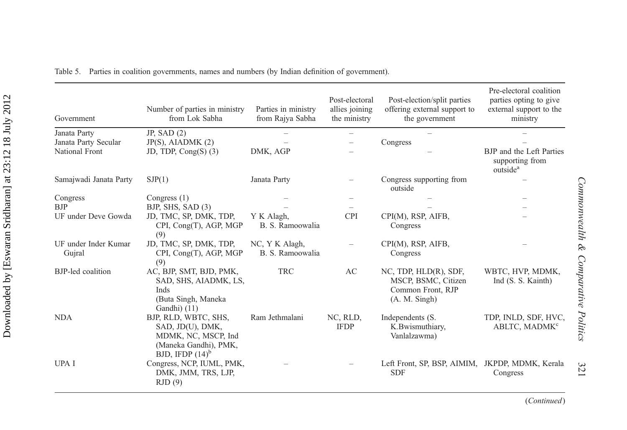| Government                             | Number of parties in ministry<br>from Lok Sabha                                                                | Parties in ministry<br>from Rajya Sabha | Post-electoral<br>allies joining<br>the ministry | Post-election/split parties<br>offering external support to<br>the government           | Pre-electoral coalition<br>parties opting to give<br>external support to the<br>ministry |
|----------------------------------------|----------------------------------------------------------------------------------------------------------------|-----------------------------------------|--------------------------------------------------|-----------------------------------------------------------------------------------------|------------------------------------------------------------------------------------------|
| Janata Party                           | JP, SAD $(2)$                                                                                                  |                                         | $\overline{\phantom{a}}$                         |                                                                                         |                                                                                          |
| Janata Party Secular<br>National Front | $JP(S)$ , AIADMK $(2)$<br>JD, TDP, $Cong(S)$ (3)                                                               | DMK, AGP                                |                                                  | Congress                                                                                | BJP and the Left Parties<br>supporting from<br>outside <sup>a</sup>                      |
| Samajwadi Janata Party                 | SJP(1)                                                                                                         | Janata Party                            |                                                  | Congress supporting from<br>outside                                                     |                                                                                          |
| Congress                               | Congress $(1)$                                                                                                 |                                         |                                                  |                                                                                         |                                                                                          |
| <b>BJP</b>                             | BJP, SHS, SAD $(3)$                                                                                            |                                         |                                                  |                                                                                         |                                                                                          |
| UF under Deve Gowda                    | JD, TMC, SP, DMK, TDP,<br>CPI, Cong(T), AGP, MGP<br>(9)                                                        | Y K Alagh,<br>B. S. Ramoowalia          | <b>CPI</b>                                       | CPI(M), RSP, AIFB,<br>Congress                                                          |                                                                                          |
| UF under Inder Kumar<br>Gujral         | JD, TMC, SP, DMK, TDP,<br>CPI, Cong(T), AGP, MGP<br>(9)                                                        | NC, Y K Alagh,<br>B. S. Ramoowalia      | $\overline{\phantom{0}}$                         | CPI(M), RSP, AIFB,<br>Congress                                                          |                                                                                          |
| BJP-led coalition                      | AC, BJP, SMT, BJD, PMK,<br>SAD, SHS, AIADMK, LS,<br>Inds<br>(Buta Singh, Maneka<br>Gandhi) (11)                | <b>TRC</b>                              | AC                                               | NC, TDP, HLD(R), SDF,<br>MSCP, BSMC, Citizen<br>Common Front, RJP<br>$(A. M.$ Singh $)$ | WBTC, HVP, MDMK,<br>Ind (S. S. Kainth)                                                   |
| <b>NDA</b>                             | BJP, RLD, WBTC, SHS,<br>SAD, JD(U), DMK,<br>MDMK, NC, MSCP, Ind<br>(Maneka Gandhi), PMK,<br>BJD, IFDP $(14)^b$ | Ram Jethmalani                          | NC, RLD,<br><b>IFDP</b>                          | Independents (S.<br>K.Bwismuthiary,<br>Vanlalzawma)                                     | TDP, INLD, SDF, HVC,<br>ABLTC, MADMK <sup>c</sup>                                        |
| <b>UPAI</b>                            | Congress, NCP, IUML, PMK,<br>DMK, JMM, TRS, LJP,<br>RJD(9)                                                     |                                         |                                                  | Left Front, SP, BSP, AIMIM, JKPDP, MDMK, Kerala<br><b>SDF</b>                           | Congress                                                                                 |

Table 5. Parties in coalition governments, names and numbers (by Indian definition of government).

Commonwealth & Comparative Politics

Commonwealth & Comparative Politics

321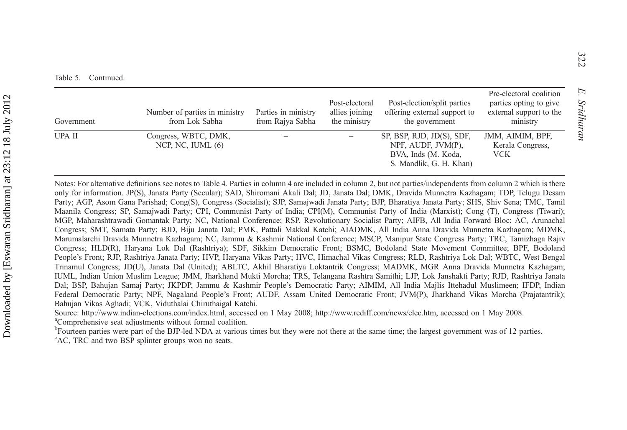| Government | Number of parties in ministry<br>from Lok Sabha | Parties in ministry<br>from Rajya Sabha | Post-electoral<br>allies joining<br>the ministry | Post-election/split parties<br>offering external support to<br>the government                     | Pre-electoral coalition<br>parties opting to give<br>external support to the<br>ministry |
|------------|-------------------------------------------------|-----------------------------------------|--------------------------------------------------|---------------------------------------------------------------------------------------------------|------------------------------------------------------------------------------------------|
| UPA II     | Congress, WBTC, DMK,<br>NCP, NC, IUML $(6)$     |                                         |                                                  | SP, BSP, RJD, JD(S), SDF,<br>NPF, AUDF, JVM(P),<br>BVA, Inds (M. Koda,<br>S. Mandlik, G. H. Khan) | JMM, AIMIM, BPF,<br>Kerala Congress,<br><b>VCK</b>                                       |

Notes: For alternative definitions see notes to Table 4. Parties in column 4 are included in column 2, but not parties/independents from column 2 which is there only for information. JP(S), Janata Party (Secular); SAD, Shiromani Akali Dal; JD, Janata Dal; DMK, Dravida Munnetra Kazhagam; TDP, Telugu Desam Party; AGP, Asom Gana Parishad; Cong(S), Congress (Socialist); SJP, Samajwadi Janata Party; BJP, Bharatiya Janata Party; SHS, Shiv Sena; TMC, Tamil Maanila Congress; SP, Samajwadi Party; CPI, Communist Party of India; CPI(M), Communist Party of India (Marxist); Cong (T), Congress (Tiwari); MGP, Maharashtrawadi Gomantak Party; NC, National Conference; RSP, Revolutionary Socialist Party; AIFB, All India Forward Bloc; AC, Arunachal Congress; SMT, Samata Party; BJD, Biju Janata Dal; PMK, Pattali Makkal Katchi; AIADMK, All India Anna Dravida Munnetra Kazhagam; MDMK, Marumalarchi Dravida Munnetra Kazhagam; NC, Jammu & Kashmir National Conference; MSCP, Manipur State Congress Party; TRC, Tamizhaga Rajiv Congress; HLD(R), Haryana Lok Dal (Rashtriya); SDF, Sikkim Democratic Front; BSMC, Bodoland State Movement Committee; BPF, Bodoland People's Front; RJP, Rashtriya Janata Party; HVP, Haryana Vikas Party; HVC, Himachal Vikas Congress; RLD, Rashtriya Lok Dal; WBTC, West Bengal Trinamul Congress; JD(U), Janata Dal (United); ABLTC, Akhil Bharatiya Loktantrik Congress; MADMK, MGR Anna Dravida Munnetra Kazhagam; IUML, Indian Union Muslim League; JMM, Jharkhand Mukti Morcha; TRS, Telangana Rashtra Samithi; LJP, Lok Janshakti Party; RJD, Rashtriya Janata Dal; BSP, Bahujan Samaj Party; JKPDP, Jammu & Kashmir People's Democratic Party; AIMIM, All India Majlis Ittehadul Muslimeen; IFDP, Indian Federal Democratic Party; NPF, Nagaland People's Front; AUDF, Assam United Democratic Front; JVM(P), Jharkhand Vikas Morcha (Prajatantrik); Bahujan Vikas Aghadi; VCK, Viduthalai Chiruthaigal Katchi.

Source: <http://www.indian-elections.com/index.html>, accessed on 1 May 2008; <http://www.rediff.com/news/elec.htm>, accessed on 1 May 2008. aComprehensive seat adjustments without formal coalition.

<sup>b</sup>Fourteen parties were part of the BJP-led NDA at various times but they were not there at the same time; the largest government was of 12 parties. <sup>c</sup>AC, TRC and two BSP splinter groups won no seats.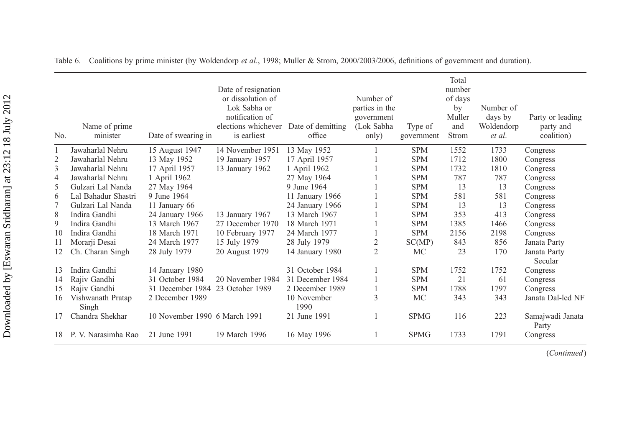| No.            | Name of prime<br>minister  | Date of swearing in              | Date of resignation<br>or dissolution of<br>Lok Sabha or<br>notification of<br>elections whichever<br>is earliest | Date of demitting<br>office | Number of<br>parties in the<br>government<br>(Lok Sabha<br>only) | Type of<br>government | Total<br>number<br>of days<br>by<br>Muller<br>and<br>Strom | Number of<br>days by<br>Woldendorp<br>et al. | Party or leading<br>party and<br>coalition) |
|----------------|----------------------------|----------------------------------|-------------------------------------------------------------------------------------------------------------------|-----------------------------|------------------------------------------------------------------|-----------------------|------------------------------------------------------------|----------------------------------------------|---------------------------------------------|
|                | Jawaharlal Nehru           | 15 August 1947                   | 14 November 1951                                                                                                  | 13 May 1952                 |                                                                  | <b>SPM</b>            | 1552                                                       | 1733                                         | Congress                                    |
| $\overline{2}$ | Jawaharlal Nehru           | 13 May 1952                      | 19 January 1957                                                                                                   | 17 April 1957               |                                                                  | <b>SPM</b>            | 1712                                                       | 1800                                         | Congress                                    |
| 3              | Jawaharlal Nehru           | 17 April 1957                    | 13 January 1962                                                                                                   | 1 April 1962                |                                                                  | <b>SPM</b>            | 1732                                                       | 1810                                         | Congress                                    |
| 4              | Jawaharlal Nehru           | 1 April 1962                     |                                                                                                                   | 27 May 1964                 |                                                                  | <b>SPM</b>            | 787                                                        | 787                                          | Congress                                    |
| 5              | Gulzari Lal Nanda          | 27 May 1964                      |                                                                                                                   | 9 June 1964                 |                                                                  | <b>SPM</b>            | 13                                                         | 13                                           | Congress                                    |
| 6              | Lal Bahadur Shastri        | 9 June 1964                      |                                                                                                                   | 11 January 1966             |                                                                  | <b>SPM</b>            | 581                                                        | 581                                          | Congress                                    |
|                | Gulzari Lal Nanda          | 11 January 66                    |                                                                                                                   | 24 January 1966             |                                                                  | <b>SPM</b>            | 13                                                         | 13                                           | Congress                                    |
| 8              | Indira Gandhi              | 24 January 1966                  | 13 January 1967                                                                                                   | 13 March 1967               |                                                                  | <b>SPM</b>            | 353                                                        | 413                                          | Congress                                    |
| 9              | Indira Gandhi              | 13 March 1967                    | 27 December 1970                                                                                                  | 18 March 1971               |                                                                  | <b>SPM</b>            | 1385                                                       | 1466                                         | Congress                                    |
| 10             | Indira Gandhi              | 18 March 1971                    | 10 February 1977                                                                                                  | 24 March 1977               |                                                                  | <b>SPM</b>            | 2156                                                       | 2198                                         | Congress                                    |
| 11             | Morarji Desai              | 24 March 1977                    | 15 July 1979                                                                                                      | 28 July 1979                | $\overline{c}$                                                   | SC(MP)                | 843                                                        | 856                                          | Janata Party                                |
| 12             | Ch. Charan Singh           | 28 July 1979                     | 20 August 1979                                                                                                    | 14 January 1980             | $\overline{2}$                                                   | MC                    | 23                                                         | 170                                          | Janata Party<br>Secular                     |
| 13             | Indira Gandhi              | 14 January 1980                  |                                                                                                                   | 31 October 1984             |                                                                  | <b>SPM</b>            | 1752                                                       | 1752                                         | Congress                                    |
| 14             | Rajiv Gandhi               | 31 October 1984                  | 20 November 1984                                                                                                  | 31 December 1984            |                                                                  | <b>SPM</b>            | 21                                                         | 61                                           | Congress                                    |
| 15             | Rajiv Gandhi               | 31 December 1984 23 October 1989 |                                                                                                                   | 2 December 1989             |                                                                  | <b>SPM</b>            | 1788                                                       | 1797                                         | Congress                                    |
| 16             | Vishwanath Pratap<br>Singh | 2 December 1989                  |                                                                                                                   | 10 November<br>1990         | 3                                                                | <b>MC</b>             | 343                                                        | 343                                          | Janata Dal-led NF                           |
| 17             | Chandra Shekhar            | 10 November 1990 6 March 1991    |                                                                                                                   | 21 June 1991                |                                                                  | <b>SPMG</b>           | 116                                                        | 223                                          | Samajwadi Janata<br>Party                   |
| 18             | P. V. Narasimha Rao        | 21 June 1991                     | 19 March 1996                                                                                                     | 16 May 1996                 |                                                                  | <b>SPMG</b>           | 1733                                                       | 1791                                         | Congress                                    |

Table 6. Coalitions by prime minister (by Woldendorp et al., 1998; Muller & Strom, 2000/2003/2006, definitions of government and duration).

(Continued)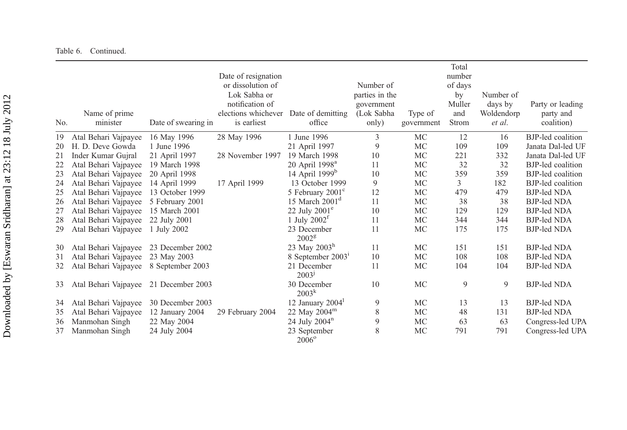| Table 6. |  | Continued. |
|----------|--|------------|
|----------|--|------------|

| No. | Name of prime<br>minister | Date of swearing in | Date of resignation<br>or dissolution of<br>Lok Sabha or<br>notification of<br>elections whichever<br>is earliest | Date of demitting<br>office      | Number of<br>parties in the<br>government<br>(Lok Sabha<br>only) | Type of<br>government | Total<br>number<br>of days<br>by<br>Muller<br>and<br>Strom | Number of<br>days by<br>Woldendorp<br>et al. | Party or leading<br>party and<br>coalition) |
|-----|---------------------------|---------------------|-------------------------------------------------------------------------------------------------------------------|----------------------------------|------------------------------------------------------------------|-----------------------|------------------------------------------------------------|----------------------------------------------|---------------------------------------------|
| 19  | Atal Behari Vajpayee      | 16 May 1996         | 28 May 1996                                                                                                       | 1 June 1996                      | 3                                                                | MC                    | 12                                                         | 16                                           | BJP-led coalition                           |
| 20  | H. D. Deve Gowda          | 1 June 1996         |                                                                                                                   | 21 April 1997                    | 9                                                                | MC                    | 109                                                        | 109                                          | Janata Dal-led UF                           |
| 21  | Inder Kumar Gujral        | 21 April 1997       | 28 November 1997                                                                                                  | 19 March 1998                    | 10                                                               | MC                    | 221                                                        | 332                                          | Janata Dal-led UF                           |
| 22  | Atal Behari Vajpayee      | 19 March 1998       |                                                                                                                   | $20$ April $1998^a$              | 11                                                               | MC                    | 32                                                         | 32                                           | <b>BJP-led</b> coalition                    |
| 23  | Atal Behari Vajpayee      | 20 April 1998       |                                                                                                                   | 14 April 1999 <sup>b</sup>       | 10                                                               | MC                    | 359                                                        | 359                                          | <b>BJP-led</b> coalition                    |
| 24  | Atal Behari Vajpayee      | 14 April 1999       | 17 April 1999                                                                                                     | 13 October 1999                  | 9                                                                | <b>MC</b>             | 3                                                          | 182                                          | <b>BJP-led</b> coalition                    |
| 25  | Atal Behari Vajpayee      | 13 October 1999     |                                                                                                                   | 5 February 2001 <sup>c</sup>     | 12                                                               | <b>MC</b>             | 479                                                        | 479                                          | <b>BJP-led NDA</b>                          |
| 26  | Atal Behari Vajpayee      | 5 February 2001     |                                                                                                                   | 15 March $2001d$                 | 11                                                               | MC                    | 38                                                         | 38                                           | <b>BJP-led NDA</b>                          |
| 27  | Atal Behari Vajpayee      | 15 March 2001       |                                                                                                                   | 22 July $2001^{\circ}$           | 10                                                               | MC                    | 129                                                        | 129                                          | <b>BJP-led NDA</b>                          |
| 28  | Atal Behari Vajpayee      | 22 July 2001        |                                                                                                                   | 1 July $2002^t$                  | 11                                                               | MC                    | 344                                                        | 344                                          | <b>BJP-led NDA</b>                          |
| 29  | Atal Behari Vajpayee      | 1 July 2002         |                                                                                                                   | 23 December<br>2002 <sup>g</sup> | 11                                                               | MC                    | 175                                                        | 175                                          | <b>BJP-led NDA</b>                          |
| 30  | Atal Behari Vajpayee      | 23 December 2002    |                                                                                                                   | 23 May 2003 <sup>h</sup>         | 11                                                               | MC                    | 151                                                        | 151                                          | <b>BJP-led NDA</b>                          |
| 31  | Atal Behari Vajpayee      | 23 May 2003         |                                                                                                                   | 8 September 2003 <sup>1</sup>    | 10                                                               | MC                    | 108                                                        | 108                                          | <b>BJP-led NDA</b>                          |
| 32  | Atal Behari Vajpayee      | 8 September 2003    |                                                                                                                   | 21 December<br>2003 <sup>j</sup> | 11                                                               | MC                    | 104                                                        | 104                                          | <b>BJP-led NDA</b>                          |
| 33  | Atal Behari Vajpayee      | 21 December 2003    |                                                                                                                   | 30 December<br>2003 <sup>k</sup> | 10                                                               | MC                    | 9                                                          | 9                                            | <b>BJP-led NDA</b>                          |
| 34  | Atal Behari Vajpayee      | 30 December 2003    |                                                                                                                   | 12 January 2004                  | 9                                                                | MC                    | 13                                                         | 13                                           | <b>BJP-led NDA</b>                          |
| 35  | Atal Behari Vajpayee      | 12 January 2004     | 29 February 2004                                                                                                  | 22 May $2004^m$                  | 8                                                                | MC                    | 48                                                         | 131                                          | <b>BJP-led NDA</b>                          |
| 36  | Manmohan Singh            | 22 May 2004         |                                                                                                                   | 24 July $2004^n$                 | 9                                                                | MC                    | 63                                                         | 63                                           | Congress-led UPA                            |
| 37  | Manmohan Singh            | 24 July 2004        |                                                                                                                   | 23 September<br>$2006^\circ$     | 8                                                                | MC                    | 791                                                        | 791                                          | Congress-led UPA                            |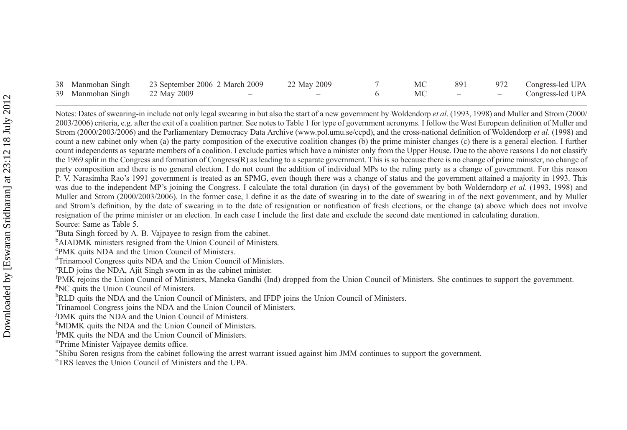|                               | 38 Manmohan Singh 23 September 2006 2 March 2009 22 May 2009 |                          |                          | MC | 891                                 | 972 Congress-led UPA |
|-------------------------------|--------------------------------------------------------------|--------------------------|--------------------------|----|-------------------------------------|----------------------|
| 39 Manmohan Singh 22 May 2009 |                                                              | $\overline{\phantom{a}}$ | $\overline{\phantom{a}}$ |    | the contract of the contract of the | Congress-led UPA     |

Notes: Dates of swearing-in include not only legal swearing in but also the start of a new government by Woldendorp et al. (1993, 1998) and Muller and Strom (2000/ 2003/2006) criteria, e.g. after the exit of <sup>a</sup> coalition partner. See notes to Table 1 for type of governmen<sup>t</sup> acronyms. I follow the West European definition of Muller and Strom (2000/2003/2006) and the Parliamentary Democracy Data Archive ([www.pol.umu.se/ccpd\)](www.pol.umu.se/ccpd), and the cross-national definition of Woldendorp *et al.* (1998) and count <sup>a</sup> new cabinet only when (a) the party composition of the executive coalition changes (b) the prime minister changes (c) there is <sup>a</sup> general election. I further count independents as separate members of <sup>a</sup> coalition. I exclude parties which have <sup>a</sup> minister only from the Upper House. Due to the above reasons I do not classify the 1969 split in the Congress and formation of Congress(R) as leading to a separate government. This is so because there is no change of prime minister, no change of party composition and there is no general election. I do not count the addition of individual MPs to the ruling party as <sup>a</sup> change of government. For this reason P. V. Narasimha Rao's 1991 governmen<sup>t</sup> is treated as an SPMG, even though there was <sup>a</sup> change of status and the governmen<sup>t</sup> attained <sup>a</sup> majority in 1993. This was due to the independent MP's joining the Congress. I calculate the total duration (in days) of the government by both Wolderndorp et al. (1993, 1998) and Muller and Strom (2000/2003/2006). In the former case, I define it as the date of swearing in to the date of swearing in of the next government, and by Muller and Strom's definition, by the date of swearing in to the date of resignation or notification of fresh elections, or the change (a) above which does not involve resignation of the prime minister or an election. In each case I include the first date and exclude the second date mentioned in calculating duration. Source: Same as Table 5.

<sup>a</sup>Buta Singh forced by A. B. Vajpayee to resign from the cabinet.

<sup>b</sup>AIADMK ministers resigned from the Union Council of Ministers.

<sup>c</sup>PMK quits NDA and the Union Council of Ministers.

<sup>d</sup>Trinamool Congress quits NDA and the Union Council of Ministers.

eRLD joins the NDA, Ajit Singh sworn in as the cabinet minister.

fPMK rejoins the Union Council of Ministers, Maneka Gandhi (Ind) dropped from the Union Council of Ministers. She continues to support the government.

<sup>g</sup>NC quits the Union Council of Ministers.

hRLD quits the NDA and the Union Council of Ministers, and IFDP joins the Union Council of Ministers.

<sup>1</sup>Trinamool Congress joins the NDA and the Union Council of Ministers.

<sup>j</sup>DMK quits the NDA and the Union Council of Ministers.

<sup>k</sup>MDMK quits the NDA and the Union Council of Ministers.

lPMK quits the NDA and the Union Council of Ministers.

mPrime Minister Vajpayee demits office.

<sup>n</sup>Shibu Soren resigns from the cabinet following the arrest warrant issued against him JMM continues to support the government.

<sup>o</sup>TRS leaves the Union Council of Ministers and the UPA.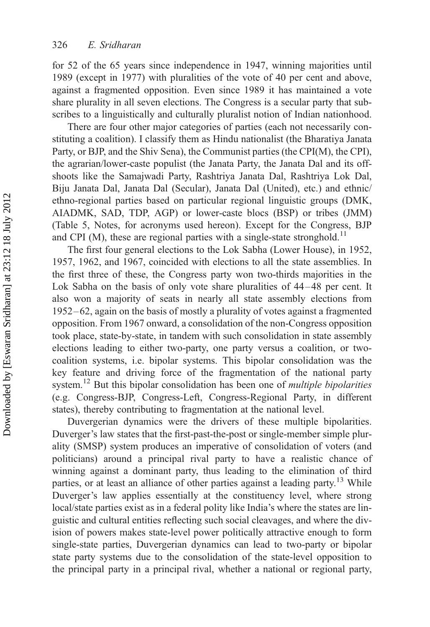for 52 of the 65 years since independence in 1947, winning majorities until 1989 (except in 1977) with pluralities of the vote of 40 per cent and above, against a fragmented opposition. Even since 1989 it has maintained a vote share plurality in all seven elections. The Congress is a secular party that subscribes to a linguistically and culturally pluralist notion of Indian nationhood.

There are four other major categories of parties (each not necessarily constituting a coalition). I classify them as Hindu nationalist (the Bharatiya Janata Party, or BJP, and the Shiv Sena), the Communist parties (the CPI(M), the CPI), the agrarian/lower-caste populist (the Janata Party, the Janata Dal and its offshoots like the Samajwadi Party, Rashtriya Janata Dal, Rashtriya Lok Dal, Biju Janata Dal, Janata Dal (Secular), Janata Dal (United), etc.) and ethnic/ ethno-regional parties based on particular regional linguistic groups (DMK, AIADMK, SAD, TDP, AGP) or lower-caste blocs (BSP) or tribes (JMM) (Table 5, Notes, for acronyms used hereon). Except for the Congress, BJP and CPI (M), these are regional parties with a single-state stronghold.<sup>11</sup>

The first four general elections to the Lok Sabha (Lower House), in 1952, 1957, 1962, and 1967, coincided with elections to all the state assemblies. In the first three of these, the Congress party won two-thirds majorities in the Lok Sabha on the basis of only vote share pluralities of  $44-48$  per cent. It also won a majority of seats in nearly all state assembly elections from 1952– 62, again on the basis of mostly a plurality of votes against a fragmented opposition. From 1967 onward, a consolidation of the non-Congress opposition took place, state-by-state, in tandem with such consolidation in state assembly elections leading to either two-party, one party versus a coalition, or twocoalition systems, i.e. bipolar systems. This bipolar consolidation was the key feature and driving force of the fragmentation of the national party system.<sup>12</sup> But this bipolar consolidation has been one of *multiple bipolarities* (e.g. Congress-BJP, Congress-Left, Congress-Regional Party, in different states), thereby contributing to fragmentation at the national level.

Duvergerian dynamics were the drivers of these multiple bipolarities. Duverger's law states that the first-past-the-post or single-member simple plurality (SMSP) system produces an imperative of consolidation of voters (and politicians) around a principal rival party to have a realistic chance of winning against a dominant party, thus leading to the elimination of third parties, or at least an alliance of other parties against a leading party.<sup>13</sup> While Duverger's law applies essentially at the constituency level, where strong local/state parties exist as in a federal polity like India's where the states are linguistic and cultural entities reflecting such social cleavages, and where the division of powers makes state-level power politically attractive enough to form single-state parties, Duvergerian dynamics can lead to two-party or bipolar state party systems due to the consolidation of the state-level opposition to the principal party in a principal rival, whether a national or regional party,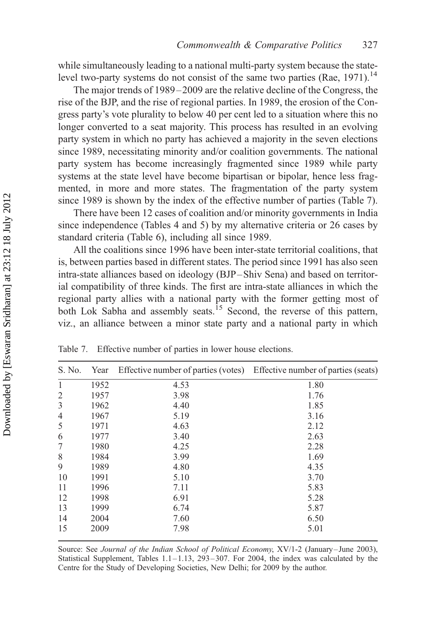while simultaneously leading to a national multi-party system because the statelevel two-party systems do not consist of the same two parties (Rae, 1971).<sup>14</sup>

The major trends of 1989 – 2009 are the relative decline of the Congress, the rise of the BJP, and the rise of regional parties. In 1989, the erosion of the Congress party's vote plurality to below 40 per cent led to a situation where this no longer converted to a seat majority. This process has resulted in an evolving party system in which no party has achieved a majority in the seven elections since 1989, necessitating minority and/or coalition governments. The national party system has become increasingly fragmented since 1989 while party systems at the state level have become bipartisan or bipolar, hence less fragmented, in more and more states. The fragmentation of the party system since 1989 is shown by the index of the effective number of parties (Table 7).

There have been 12 cases of coalition and/or minority governments in India since independence (Tables 4 and 5) by my alternative criteria or 26 cases by standard criteria (Table 6), including all since 1989.

All the coalitions since 1996 have been inter-state territorial coalitions, that is, between parties based in different states. The period since 1991 has also seen intra-state alliances based on ideology (BJP –Shiv Sena) and based on territorial compatibility of three kinds. The first are intra-state alliances in which the regional party allies with a national party with the former getting most of both Lok Sabha and assembly seats.<sup>15</sup> Second, the reverse of this pattern, viz., an alliance between a minor state party and a national party in which

| S. No.         | Year | Effective number of parties (votes) Effective number of parties (seats) |      |
|----------------|------|-------------------------------------------------------------------------|------|
| $\mathbf{1}$   | 1952 | 4.53                                                                    | 1.80 |
| $\overline{2}$ | 1957 | 3.98                                                                    | 1.76 |
| 3              | 1962 | 4.40                                                                    | 1.85 |
| 4              | 1967 | 5.19                                                                    | 3.16 |
| 5              | 1971 | 4.63                                                                    | 2.12 |
| 6              | 1977 | 3.40                                                                    | 2.63 |
| 7              | 1980 | 4.25                                                                    | 2.28 |
| 8              | 1984 | 3.99                                                                    | 1.69 |
| 9              | 1989 | 4.80                                                                    | 4.35 |
| 10             | 1991 | 5.10                                                                    | 3.70 |
| 11             | 1996 | 7.11                                                                    | 5.83 |
| 12             | 1998 | 6.91                                                                    | 5.28 |
| 13             | 1999 | 6.74                                                                    | 5.87 |
| 14             | 2004 | 7.60                                                                    | 6.50 |
| 15             | 2009 | 7.98                                                                    | 5.01 |

Table 7. Effective number of parties in lower house elections.

Source: See Journal of the Indian School of Political Economy, XV/1-2 (January –June 2003), Statistical Supplement, Tables  $1.1 - 1.13$ , 293-307. For 2004, the index was calculated by the Centre for the Study of Developing Societies, New Delhi; for 2009 by the author.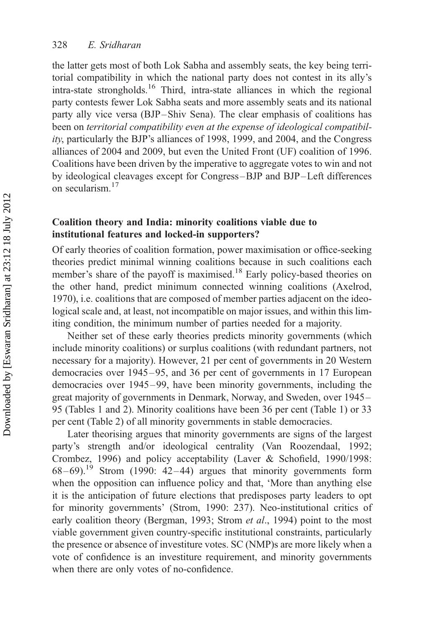the latter gets most of both Lok Sabha and assembly seats, the key being territorial compatibility in which the national party does not contest in its ally's intra-state strongholds.<sup>16</sup> Third, intra-state alliances in which the regional party contests fewer Lok Sabha seats and more assembly seats and its national party ally vice versa (BJP –Shiv Sena). The clear emphasis of coalitions has been on territorial compatibility even at the expense of ideological compatibility, particularly the BJP's alliances of 1998, 1999, and 2004, and the Congress alliances of 2004 and 2009, but even the United Front (UF) coalition of 1996. Coalitions have been driven by the imperative to aggregate votes to win and not by ideological cleavages except for Congress –BJP and BJP –Left differences on secularism.<sup>17</sup>

# Coalition theory and India: minority coalitions viable due to institutional features and locked-in supporters?

Of early theories of coalition formation, power maximisation or office-seeking theories predict minimal winning coalitions because in such coalitions each member's share of the payoff is maximised.<sup>18</sup> Early policy-based theories on the other hand, predict minimum connected winning coalitions (Axelrod, 1970), i.e. coalitions that are composed of member parties adjacent on the ideological scale and, at least, not incompatible on major issues, and within this limiting condition, the minimum number of parties needed for a majority.

Neither set of these early theories predicts minority governments (which include minority coalitions) or surplus coalitions (with redundant partners, not necessary for a majority). However, 21 per cent of governments in 20 Western democracies over 1945–95, and 36 per cent of governments in 17 European democracies over 1945–99, have been minority governments, including the great majority of governments in Denmark, Norway, and Sweden, over 1945 – 95 (Tables 1 and 2). Minority coalitions have been 36 per cent (Table 1) or 33 per cent (Table 2) of all minority governments in stable democracies.

Later theorising argues that minority governments are signs of the largest party's strength and/or ideological centrality (Van Roozendaal, 1992; Crombez, 1996) and policy acceptability (Laver & Schofield, 1990/1998:  $68-69$ .<sup>19</sup> Strom (1990: 42-44) argues that minority governments form when the opposition can influence policy and that, 'More than anything else it is the anticipation of future elections that predisposes party leaders to opt for minority governments' (Strom, 1990: 237). Neo-institutional critics of early coalition theory (Bergman, 1993; Strom et al., 1994) point to the most viable government given country-specific institutional constraints, particularly the presence or absence of investiture votes. SC (NMP)s are more likely when a vote of confidence is an investiture requirement, and minority governments when there are only votes of no-confidence.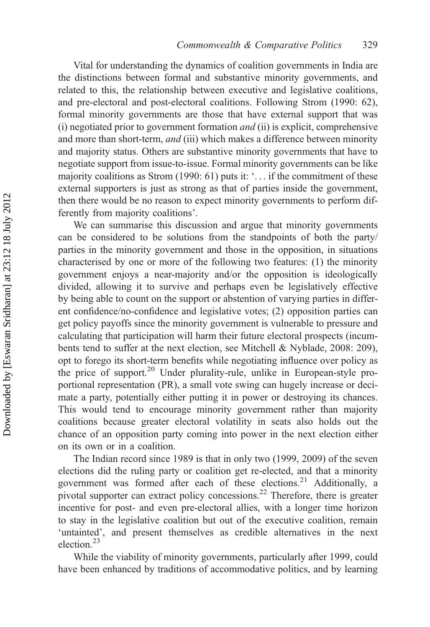Vital for understanding the dynamics of coalition governments in India are the distinctions between formal and substantive minority governments, and related to this, the relationship between executive and legislative coalitions, and pre-electoral and post-electoral coalitions. Following Strom (1990: 62), formal minority governments are those that have external support that was (i) negotiated prior to government formation and (ii) is explicit, comprehensive and more than short-term, *and* (iii) which makes a difference between minority and majority status. Others are substantive minority governments that have to negotiate support from issue-to-issue. Formal minority governments can be like majority coalitions as Strom (1990: 61) puts it: '... if the commitment of these external supporters is just as strong as that of parties inside the government, then there would be no reason to expect minority governments to perform differently from majority coalitions'.

We can summarise this discussion and argue that minority governments can be considered to be solutions from the standpoints of both the party/ parties in the minority government and those in the opposition, in situations characterised by one or more of the following two features: (1) the minority government enjoys a near-majority and/or the opposition is ideologically divided, allowing it to survive and perhaps even be legislatively effective by being able to count on the support or abstention of varying parties in different confidence/no-confidence and legislative votes; (2) opposition parties can get policy payoffs since the minority government is vulnerable to pressure and calculating that participation will harm their future electoral prospects (incumbents tend to suffer at the next election, see Mitchell & Nyblade, 2008: 209), opt to forego its short-term benefits while negotiating influence over policy as the price of support.<sup>20</sup> Under plurality-rule, unlike in European-style proportional representation (PR), a small vote swing can hugely increase or decimate a party, potentially either putting it in power or destroying its chances. This would tend to encourage minority government rather than majority coalitions because greater electoral volatility in seats also holds out the chance of an opposition party coming into power in the next election either on its own or in a coalition.

The Indian record since 1989 is that in only two (1999, 2009) of the seven elections did the ruling party or coalition get re-elected, and that a minority government was formed after each of these elections.<sup>21</sup> Additionally, a pivotal supporter can extract policy concessions.22 Therefore, there is greater incentive for post- and even pre-electoral allies, with a longer time horizon to stay in the legislative coalition but out of the executive coalition, remain 'untainted', and present themselves as credible alternatives in the next election.<sup>23</sup>

While the viability of minority governments, particularly after 1999, could have been enhanced by traditions of accommodative politics, and by learning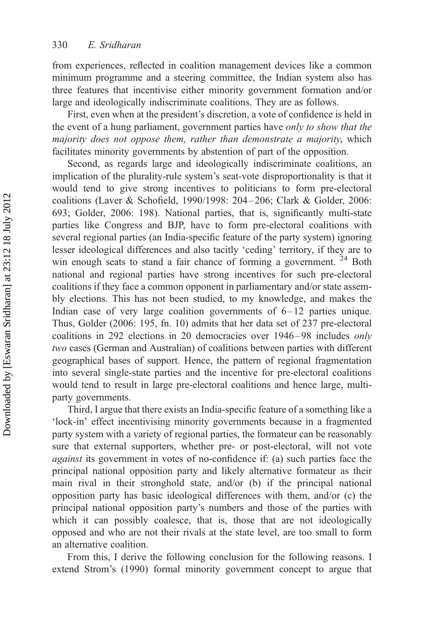from experiences, reflected in coalition management devices like a common minimum programme and a steering committee, the Indian system also has three features that incentivise either minority government formation and/or large and ideologically indiscriminate coalitions. They are as follows.

First, even when at the president's discretion, a vote of confidence is held in the event of a hung parliament, government parties have only to show that the majority does not oppose them, rather than demonstrate a majority, which facilitates minority governments by abstention of part of the opposition.

Second, as regards large and ideologically indiscriminate coalitions, an implication of the plurality-rule system's seat-vote disproportionality is that it would tend to give strong incentives to politicians to form pre-electoral coalitions (Laver & Schofield, 1990/1998: 204– 206; Clark & Golder, 2006: 693; Golder, 2006: 198). National parties, that is, significantly multi-state parties like Congress and BJP, have to form pre-electoral coalitions with several regional parties (an India-specific feature of the party system) ignoring lesser ideological differences and also tacitly 'ceding' territory, if they are to win enough seats to stand a fair chance of forming a government.<sup>24</sup> Both national and regional parties have strong incentives for such pre-electoral coalitions if they face a common opponent in parliamentary and/or state assembly elections. This has not been studied, to my knowledge, and makes the Indian case of very large coalition governments of  $6-12$  parties unique. Thus, Golder (2006: 195, fn. 10) admits that her data set of 237 pre-electoral coalitions in 292 elections in 20 democracies over 1946– 98 includes only two cases (German and Australian) of coalitions between parties with different geographical bases of support. Hence, the pattern of regional fragmentation into several single-state parties and the incentive for pre-electoral coalitions would tend to result in large pre-electoral coalitions and hence large, multiparty governments.

Third, I argue that there exists an India-specific feature of a something like a 'lock-in' effect incentivising minority governments because in a fragmented party system with a variety of regional parties, the formateur can be reasonably sure that external supporters, whether pre- or post-electoral, will not vote against its government in votes of no-confidence if: (a) such parties face the principal national opposition party and likely alternative formateur as their main rival in their stronghold state, and/or (b) if the principal national opposition party has basic ideological differences with them, and/or (c) the principal national opposition party's numbers and those of the parties with which it can possibly coalesce, that is, those that are not ideologically opposed and who are not their rivals at the state level, are too small to form an alternative coalition.

From this, I derive the following conclusion for the following reasons. I extend Strom's (1990) formal minority government concept to argue that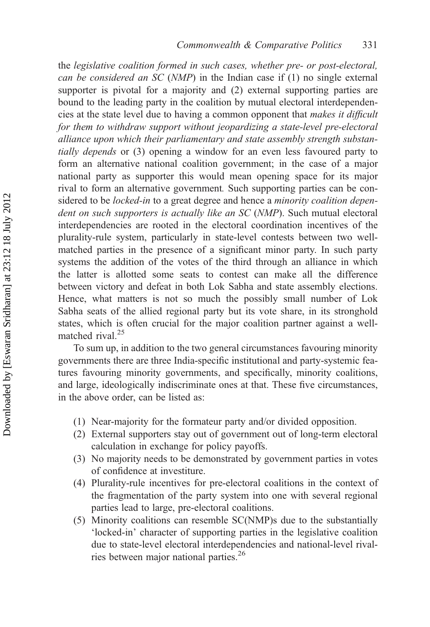the legislative coalition formed in such cases, whether pre- or post-electoral, can be considered an SC (NMP) in the Indian case if (1) no single external supporter is pivotal for a majority and (2) external supporting parties are bound to the leading party in the coalition by mutual electoral interdependencies at the state level due to having a common opponent that makes it difficult for them to withdraw support without jeopardizing a state-level pre-electoral alliance upon which their parliamentary and state assembly strength substantially depends or (3) opening a window for an even less favoured party to form an alternative national coalition government; in the case of a major national party as supporter this would mean opening space for its major rival to form an alternative government. Such supporting parties can be considered to be *locked-in* to a great degree and hence a *minority coalition depen*dent on such supporters is actually like an SC (NMP). Such mutual electoral interdependencies are rooted in the electoral coordination incentives of the plurality-rule system, particularly in state-level contests between two wellmatched parties in the presence of a significant minor party. In such party systems the addition of the votes of the third through an alliance in which the latter is allotted some seats to contest can make all the difference between victory and defeat in both Lok Sabha and state assembly elections. Hence, what matters is not so much the possibly small number of Lok Sabha seats of the allied regional party but its vote share, in its stronghold states, which is often crucial for the major coalition partner against a wellmatched rival.<sup>25</sup>

To sum up, in addition to the two general circumstances favouring minority governments there are three India-specific institutional and party-systemic features favouring minority governments, and specifically, minority coalitions, and large, ideologically indiscriminate ones at that. These five circumstances, in the above order, can be listed as:

- (1) Near-majority for the formateur party and/or divided opposition.
- (2) External supporters stay out of government out of long-term electoral calculation in exchange for policy payoffs.
- (3) No majority needs to be demonstrated by government parties in votes of confidence at investiture.
- (4) Plurality-rule incentives for pre-electoral coalitions in the context of the fragmentation of the party system into one with several regional parties lead to large, pre-electoral coalitions.
- (5) Minority coalitions can resemble SC(NMP)s due to the substantially 'locked-in' character of supporting parties in the legislative coalition due to state-level electoral interdependencies and national-level rivalries between major national parties.<sup>26</sup>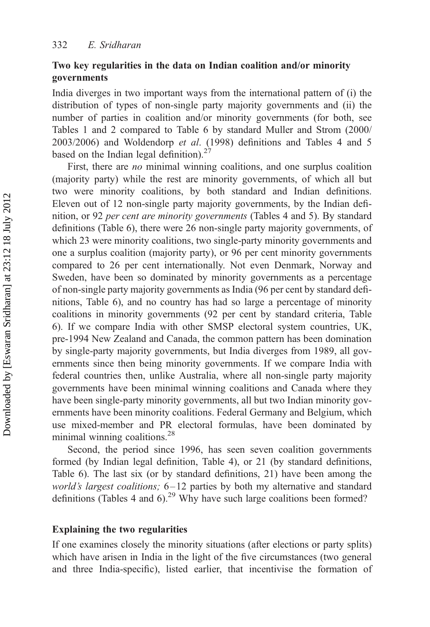## Two key regularities in the data on Indian coalition and/or minority governments

India diverges in two important ways from the international pattern of (i) the distribution of types of non-single party majority governments and (ii) the number of parties in coalition and/or minority governments (for both, see Tables 1 and 2 compared to Table 6 by standard Muller and Strom (2000/ 2003/2006) and Woldendorp et al. (1998) definitions and Tables 4 and 5 based on the Indian legal definition).<sup>27</sup>

First, there are *no* minimal winning coalitions, and one surplus coalition (majority party) while the rest are minority governments, of which all but two were minority coalitions, by both standard and Indian definitions. Eleven out of 12 non-single party majority governments, by the Indian definition, or 92 per cent are minority governments (Tables 4 and 5). By standard definitions (Table 6), there were 26 non-single party majority governments, of which 23 were minority coalitions, two single-party minority governments and one a surplus coalition (majority party), or 96 per cent minority governments compared to 26 per cent internationally. Not even Denmark, Norway and Sweden, have been so dominated by minority governments as a percentage of non-single party majority governments as India (96 per cent by standard definitions, Table 6), and no country has had so large a percentage of minority coalitions in minority governments (92 per cent by standard criteria, Table 6). If we compare India with other SMSP electoral system countries, UK, pre-1994 New Zealand and Canada, the common pattern has been domination by single-party majority governments, but India diverges from 1989, all governments since then being minority governments. If we compare India with federal countries then, unlike Australia, where all non-single party majority governments have been minimal winning coalitions and Canada where they have been single-party minority governments, all but two Indian minority governments have been minority coalitions. Federal Germany and Belgium, which use mixed-member and PR electoral formulas, have been dominated by minimal winning coalitions.28

Second, the period since 1996, has seen seven coalition governments formed (by Indian legal definition, Table 4), or 21 (by standard definitions, Table 6). The last six (or by standard definitions, 21) have been among the world's largest coalitions; 6-12 parties by both my alternative and standard definitions (Tables 4 and  $6$ ).<sup>29</sup> Why have such large coalitions been formed?

#### Explaining the two regularities

If one examines closely the minority situations (after elections or party splits) which have arisen in India in the light of the five circumstances (two general and three India-specific), listed earlier, that incentivise the formation of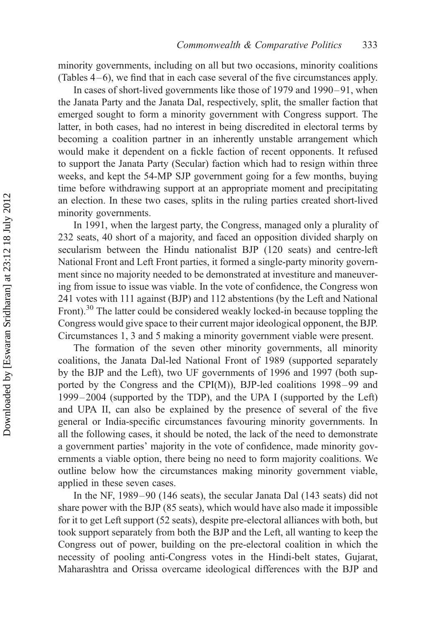minority governments, including on all but two occasions, minority coalitions (Tables  $4-6$ ), we find that in each case several of the five circumstances apply.

In cases of short-lived governments like those of 1979 and 1990–91, when the Janata Party and the Janata Dal, respectively, split, the smaller faction that emerged sought to form a minority government with Congress support. The latter, in both cases, had no interest in being discredited in electoral terms by becoming a coalition partner in an inherently unstable arrangement which would make it dependent on a fickle faction of recent opponents. It refused to support the Janata Party (Secular) faction which had to resign within three weeks, and kept the 54-MP SJP government going for a few months, buying time before withdrawing support at an appropriate moment and precipitating an election. In these two cases, splits in the ruling parties created short-lived minority governments.

In 1991, when the largest party, the Congress, managed only a plurality of 232 seats, 40 short of a majority, and faced an opposition divided sharply on secularism between the Hindu nationalist BJP (120 seats) and centre-left National Front and Left Front parties, it formed a single-party minority government since no majority needed to be demonstrated at investiture and maneuvering from issue to issue was viable. In the vote of confidence, the Congress won 241 votes with 111 against (BJP) and 112 abstentions (by the Left and National Front).<sup>30</sup> The latter could be considered weakly locked-in because toppling the Congress would give space to their current major ideological opponent, the BJP. Circumstances 1, 3 and 5 making a minority government viable were present.

The formation of the seven other minority governments, all minority coalitions, the Janata Dal-led National Front of 1989 (supported separately by the BJP and the Left), two UF governments of 1996 and 1997 (both supported by the Congress and the CPI(M)), BJP-led coalitions  $1998-99$  and 1999 – 2004 (supported by the TDP), and the UPA I (supported by the Left) and UPA II, can also be explained by the presence of several of the five general or India-specific circumstances favouring minority governments. In all the following cases, it should be noted, the lack of the need to demonstrate a government parties' majority in the vote of confidence, made minority governments a viable option, there being no need to form majority coalitions. We outline below how the circumstances making minority government viable, applied in these seven cases.

In the NF, 1989 –90 (146 seats), the secular Janata Dal (143 seats) did not share power with the BJP (85 seats), which would have also made it impossible for it to get Left support (52 seats), despite pre-electoral alliances with both, but took support separately from both the BJP and the Left, all wanting to keep the Congress out of power, building on the pre-electoral coalition in which the necessity of pooling anti-Congress votes in the Hindi-belt states, Gujarat, Maharashtra and Orissa overcame ideological differences with the BJP and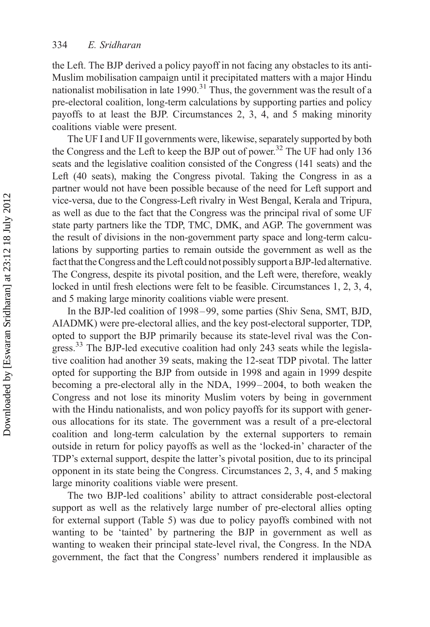the Left. The BJP derived a policy payoff in not facing any obstacles to its anti-Muslim mobilisation campaign until it precipitated matters with a major Hindu nationalist mobilisation in late  $1990$ .<sup>31</sup> Thus, the government was the result of a pre-electoral coalition, long-term calculations by supporting parties and policy payoffs to at least the BJP. Circumstances 2, 3, 4, and 5 making minority coalitions viable were present.

The UF I and UF II governments were, likewise, separately supported by both the Congress and the Left to keep the BJP out of power.<sup>32</sup> The UF had only 136 seats and the legislative coalition consisted of the Congress (141 seats) and the Left (40 seats), making the Congress pivotal. Taking the Congress in as a partner would not have been possible because of the need for Left support and vice-versa, due to the Congress-Left rivalry in West Bengal, Kerala and Tripura, as well as due to the fact that the Congress was the principal rival of some UF state party partners like the TDP, TMC, DMK, and AGP. The government was the result of divisions in the non-government party space and long-term calculations by supporting parties to remain outside the government as well as the fact that the Congress and the Left could not possibly support a BJP-led alternative. The Congress, despite its pivotal position, and the Left were, therefore, weakly locked in until fresh elections were felt to be feasible. Circumstances 1, 2, 3, 4, and 5 making large minority coalitions viable were present.

In the BJP-led coalition of 1998 – 99, some parties (Shiv Sena, SMT, BJD, AIADMK) were pre-electoral allies, and the key post-electoral supporter, TDP, opted to support the BJP primarily because its state-level rival was the Congress.<sup>33</sup> The BJP-led executive coalition had only 243 seats while the legislative coalition had another 39 seats, making the 12-seat TDP pivotal. The latter opted for supporting the BJP from outside in 1998 and again in 1999 despite becoming a pre-electoral ally in the NDA, 1999– 2004, to both weaken the Congress and not lose its minority Muslim voters by being in government with the Hindu nationalists, and won policy payoffs for its support with generous allocations for its state. The government was a result of a pre-electoral coalition and long-term calculation by the external supporters to remain outside in return for policy payoffs as well as the 'locked-in' character of the TDP's external support, despite the latter's pivotal position, due to its principal opponent in its state being the Congress. Circumstances 2, 3, 4, and 5 making large minority coalitions viable were present.

The two BJP-led coalitions' ability to attract considerable post-electoral support as well as the relatively large number of pre-electoral allies opting for external support (Table 5) was due to policy payoffs combined with not wanting to be 'tainted' by partnering the BJP in government as well as wanting to weaken their principal state-level rival, the Congress. In the NDA government, the fact that the Congress' numbers rendered it implausible as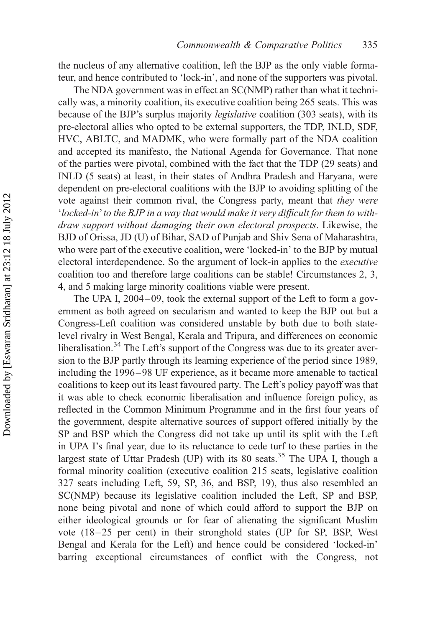the nucleus of any alternative coalition, left the BJP as the only viable formateur, and hence contributed to 'lock-in', and none of the supporters was pivotal.

The NDA government was in effect an SC(NMP) rather than what it technically was, a minority coalition, its executive coalition being 265 seats. This was because of the BJP's surplus majority legislative coalition (303 seats), with its pre-electoral allies who opted to be external supporters, the TDP, INLD, SDF, HVC, ABLTC, and MADMK, who were formally part of the NDA coalition and accepted its manifesto, the National Agenda for Governance. That none of the parties were pivotal, combined with the fact that the TDP (29 seats) and INLD (5 seats) at least, in their states of Andhra Pradesh and Haryana, were dependent on pre-electoral coalitions with the BJP to avoiding splitting of the vote against their common rival, the Congress party, meant that they were 'locked-in'to the BJP in a way that would make it very difficult for them to withdraw support without damaging their own electoral prospects. Likewise, the BJD of Orissa, JD (U) of Bihar, SAD of Punjab and Shiv Sena of Maharashtra, who were part of the executive coalition, were 'locked-in' to the BJP by mutual electoral interdependence. So the argument of lock-in applies to the executive coalition too and therefore large coalitions can be stable! Circumstances 2, 3, 4, and 5 making large minority coalitions viable were present.

The UPA I, 2004–09, took the external support of the Left to form a government as both agreed on secularism and wanted to keep the BJP out but a Congress-Left coalition was considered unstable by both due to both statelevel rivalry in West Bengal, Kerala and Tripura, and differences on economic liberalisation.<sup>34</sup> The Left's support of the Congress was due to its greater aversion to the BJP partly through its learning experience of the period since 1989, including the 1996 – 98 UF experience, as it became more amenable to tactical coalitions to keep out its least favoured party. The Left's policy payoff was that it was able to check economic liberalisation and influence foreign policy, as reflected in the Common Minimum Programme and in the first four years of the government, despite alternative sources of support offered initially by the SP and BSP which the Congress did not take up until its split with the Left in UPA I's final year, due to its reluctance to cede turf to these parties in the largest state of Uttar Pradesh (UP) with its 80 seats.<sup>35</sup> The UPA I, though a formal minority coalition (executive coalition 215 seats, legislative coalition 327 seats including Left, 59, SP, 36, and BSP, 19), thus also resembled an SC(NMP) because its legislative coalition included the Left, SP and BSP, none being pivotal and none of which could afford to support the BJP on either ideological grounds or for fear of alienating the significant Muslim vote (18 – 25 per cent) in their stronghold states (UP for SP, BSP, West Bengal and Kerala for the Left) and hence could be considered 'locked-in' barring exceptional circumstances of conflict with the Congress, not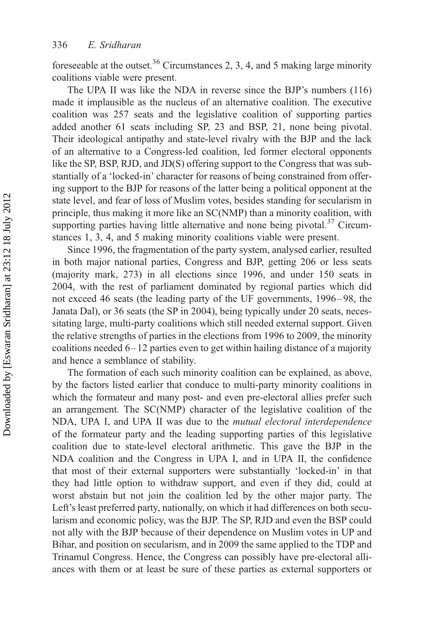foreseeable at the outset.<sup>36</sup> Circumstances 2, 3, 4, and 5 making large minority coalitions viable were present.

The UPA II was like the NDA in reverse since the BJP's numbers (116) made it implausible as the nucleus of an alternative coalition. The executive coalition was 257 seats and the legislative coalition of supporting parties added another 61 seats including SP, 23 and BSP, 21, none being pivotal. Their ideological antipathy and state-level rivalry with the BJP and the lack of an alternative to a Congress-led coalition, led former electoral opponents like the SP, BSP, RJD, and JD(S) offering support to the Congress that was substantially of a 'locked-in' character for reasons of being constrained from offering support to the BJP for reasons of the latter being a political opponent at the state level, and fear of loss of Muslim votes, besides standing for secularism in principle, thus making it more like an SC(NMP) than a minority coalition, with supporting parties having little alternative and none being pivotal.<sup>37</sup> Circumstances 1, 3, 4, and 5 making minority coalitions viable were present.

Since 1996, the fragmentation of the party system, analysed earlier, resulted in both major national parties, Congress and BJP, getting 206 or less seats (majority mark, 273) in all elections since 1996, and under 150 seats in 2004, with the rest of parliament dominated by regional parties which did not exceed 46 seats (the leading party of the UF governments, 1996 – 98, the Janata Dal), or 36 seats (the SP in 2004), being typically under 20 seats, necessitating large, multi-party coalitions which still needed external support. Given the relative strengths of parties in the elections from 1996 to 2009, the minority coalitions needed  $6-12$  parties even to get within hailing distance of a majority and hence a semblance of stability.

The formation of each such minority coalition can be explained, as above, by the factors listed earlier that conduce to multi-party minority coalitions in which the formateur and many post- and even pre-electoral allies prefer such an arrangement. The SC(NMP) character of the legislative coalition of the NDA, UPA I, and UPA II was due to the mutual electoral interdependence of the formateur party and the leading supporting parties of this legislative coalition due to state-level electoral arithmetic. This gave the BJP in the NDA coalition and the Congress in UPA I, and in UPA II, the confidence that most of their external supporters were substantially 'locked-in' in that they had little option to withdraw support, and even if they did, could at worst abstain but not join the coalition led by the other major party. The Left's least preferred party, nationally, on which it had differences on both secularism and economic policy, was the BJP. The SP, RJD and even the BSP could not ally with the BJP because of their dependence on Muslim votes in UP and Bihar, and position on secularism, and in 2009 the same applied to the TDP and Trinamul Congress. Hence, the Congress can possibly have pre-electoral alliances with them or at least be sure of these parties as external supporters or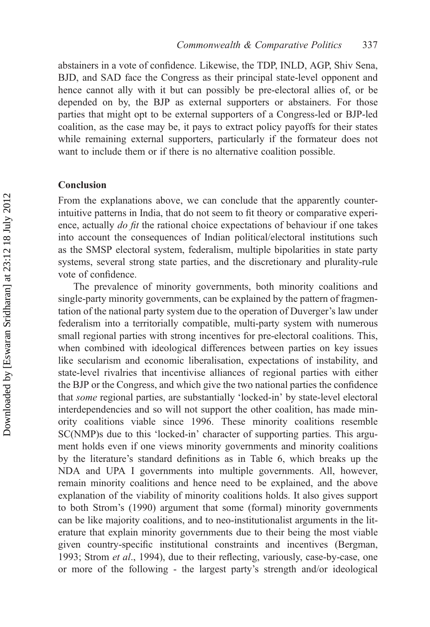abstainers in a vote of confidence. Likewise, the TDP, INLD, AGP, Shiv Sena, BJD, and SAD face the Congress as their principal state-level opponent and hence cannot ally with it but can possibly be pre-electoral allies of, or be depended on by, the BJP as external supporters or abstainers. For those parties that might opt to be external supporters of a Congress-led or BJP-led coalition, as the case may be, it pays to extract policy payoffs for their states while remaining external supporters, particularly if the formateur does not want to include them or if there is no alternative coalition possible.

#### Conclusion

From the explanations above, we can conclude that the apparently counterintuitive patterns in India, that do not seem to fit theory or comparative experience, actually *do fit* the rational choice expectations of behaviour if one takes into account the consequences of Indian political/electoral institutions such as the SMSP electoral system, federalism, multiple bipolarities in state party systems, several strong state parties, and the discretionary and plurality-rule vote of confidence.

The prevalence of minority governments, both minority coalitions and single-party minority governments, can be explained by the pattern of fragmentation of the national party system due to the operation of Duverger's law under federalism into a territorially compatible, multi-party system with numerous small regional parties with strong incentives for pre-electoral coalitions. This, when combined with ideological differences between parties on key issues like secularism and economic liberalisation, expectations of instability, and state-level rivalries that incentivise alliances of regional parties with either the BJP or the Congress, and which give the two national parties the confidence that some regional parties, are substantially 'locked-in' by state-level electoral interdependencies and so will not support the other coalition, has made minority coalitions viable since 1996. These minority coalitions resemble SC(NMP)s due to this 'locked-in' character of supporting parties. This argument holds even if one views minority governments and minority coalitions by the literature's standard definitions as in Table 6, which breaks up the NDA and UPA I governments into multiple governments. All, however, remain minority coalitions and hence need to be explained, and the above explanation of the viability of minority coalitions holds. It also gives support to both Strom's (1990) argument that some (formal) minority governments can be like majority coalitions, and to neo-institutionalist arguments in the literature that explain minority governments due to their being the most viable given country-specific institutional constraints and incentives (Bergman, 1993; Strom *et al.*, 1994), due to their reflecting, variously, case-by-case, one or more of the following - the largest party's strength and/or ideological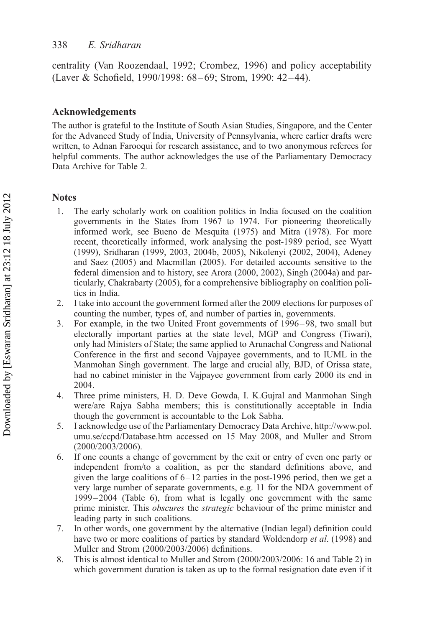centrality (Van Roozendaal, 1992; Crombez, 1996) and policy acceptability (Laver & Schofield, 1990/1998: 68– 69; Strom, 1990: 42– 44).

### Acknowledgements

The author is grateful to the Institute of South Asian Studies, Singapore, and the Center for the Advanced Study of India, University of Pennsylvania, where earlier drafts were written, to Adnan Farooqui for research assistance, and to two anonymous referees for helpful comments. The author acknowledges the use of the Parliamentary Democracy Data Archive for Table 2.

### Notes

- 1. The early scholarly work on coalition politics in India focused on the coalition governments in the States from 1967 to 1974. For pioneering theoretically informed work, see Bueno de Mesquita (1975) and Mitra (1978). For more recent, theoretically informed, work analysing the post-1989 period, see Wyatt (1999), Sridharan (1999, 2003, 2004b, 2005), Nikolenyi (2002, 2004), Adeney and Saez (2005) and Macmillan (2005). For detailed accounts sensitive to the federal dimension and to history, see Arora (2000, 2002), Singh (2004a) and particularly, Chakrabarty (2005), for a comprehensive bibliography on coalition politics in India.
- 2. I take into account the government formed after the 2009 elections for purposes of counting the number, types of, and number of parties in, governments.
- 3. For example, in the two United Front governments of 1996–98, two small but electorally important parties at the state level, MGP and Congress (Tiwari), only had Ministers of State; the same applied to Arunachal Congress and National Conference in the first and second Vajpayee governments, and to IUML in the Manmohan Singh government. The large and crucial ally, BJD, of Orissa state, had no cabinet minister in the Vajpayee government from early 2000 its end in 2004.
- 4. Three prime ministers, H. D. Deve Gowda, I. K.Gujral and Manmohan Singh were/are Rajya Sabha members; this is constitutionally acceptable in India though the government is accountable to the Lok Sabha.
- 5. I acknowledge use of the Parliamentary Democracy Data Archive, [http://www.pol.](http://www.pol.umu.se/ccpd/Database.htm) [umu.se/ccpd/Database.htm](http://www.pol.umu.se/ccpd/Database.htm) accessed on 15 May 2008, and Muller and Strom (2000/2003/2006).
- 6. If one counts a change of government by the exit or entry of even one party or independent from/to a coalition, as per the standard definitions above, and given the large coalitions of 6–12 parties in the post-1996 period, then we get a very large number of separate governments, e.g. 11 for the NDA government of 1999– 2004 (Table 6), from what is legally one government with the same prime minister. This *obscures* the *strategic* behaviour of the prime minister and leading party in such coalitions.
- 7. In other words, one government by the alternative (Indian legal) definition could have two or more coalitions of parties by standard Woldendorp et al. (1998) and Muller and Strom (2000/2003/2006) definitions.
- 8. This is almost identical to Muller and Strom (2000/2003/2006: 16 and Table 2) in which government duration is taken as up to the formal resignation date even if it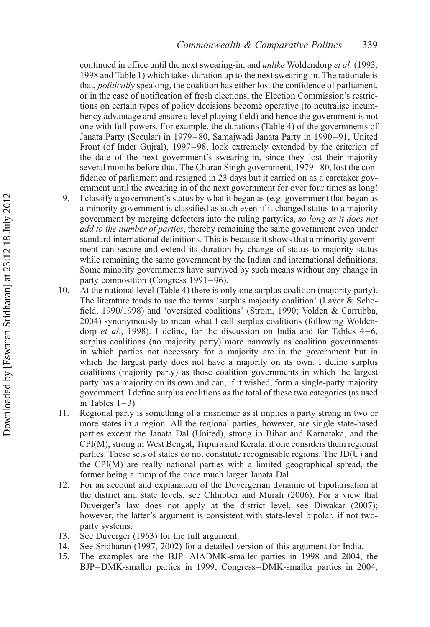continued in office until the next swearing-in, and unlike Woldendorp et al. (1993, 1998 and Table 1) which takes duration up to the next swearing-in. The rationale is that, *politically* speaking, the coalition has either lost the confidence of parliament, or in the case of notification of fresh elections, the Election Commission's restrictions on certain types of policy decisions become operative (to neutralise incumbency advantage and ensure a level playing field) and hence the government is not one with full powers. For example, the durations (Table 4) of the governments of Janata Party (Secular) in 1979–80, Samajwadi Janata Party in 1990–91, United Front (of Inder Gujral), 1997–98, look extremely extended by the criterion of the date of the next government's swearing-in, since they lost their majority several months before that. The Charan Singh government, 1979–80, lost the confidence of parliament and resigned in 23 days but it carried on as a caretaker government until the swearing in of the next government for over four times as long!

- 9. I classify a government's status by what it began as (e.g. government that began as a minority government is classified as such even if it changed status to a majority government by merging defectors into the ruling party/ies, so long as it does not add to the number of parties, thereby remaining the same government even under standard international definitions. This is because it shows that a minority government can secure and extend its duration by change of status to majority status while remaining the same government by the Indian and international definitions. Some minority governments have survived by such means without any change in party composition (Congress 1991–96).
- 10. At the national level (Table 4) there is only one surplus coalition (majority party). The literature tends to use the terms 'surplus majority coalition' (Laver & Schofield, 1990/1998) and 'oversized coalitions' (Strom, 1990; Volden & Carrubba, 2004) synonymously to mean what I call surplus coalitions (following Woldendorp *et al.*, 1998). I define, for the discussion on India and for Tables  $4-6$ , surplus coalitions (no majority party) more narrowly as coalition governments in which parties not necessary for a majority are in the government but in which the largest party does not have a majority on its own. I define surplus coalitions (majority party) as those coalition governments in which the largest party has a majority on its own and can, if it wished, form a single-party majority government. I define surplus coalitions as the total of these two categories (as used in Tables  $1-3$ ).
- 11. Regional party is something of a misnomer as it implies a party strong in two or more states in a region. All the regional parties, however, are single state-based parties except the Janata Dal (United), strong in Bihar and Karnataka, and the CPI(M), strong in West Bengal, Tripura and Kerala, if one considers them regional parties. These sets of states do not constitute recognisable regions. The JD(U) and the CPI(M) are really national parties with a limited geographical spread, the former being a rump of the once much larger Janata Dal.
- 12. For an account and explanation of the Duvergerian dynamic of bipolarisation at the district and state levels, see Chhibber and Murali (2006). For a view that Duverger's law does not apply at the district level, see Diwakar (2007); however, the latter's argument is consistent with state-level bipolar, if not twoparty systems.
- 13. See Duverger (1963) for the full argument.
- 14. See Sridharan (1997, 2002) for a detailed version of this argument for India.
- 15. The examples are the BJP–AIADMK-smaller parties in 1998 and 2004, the BJP–DMK-smaller parties in 1999, Congress–DMK-smaller parties in 2004,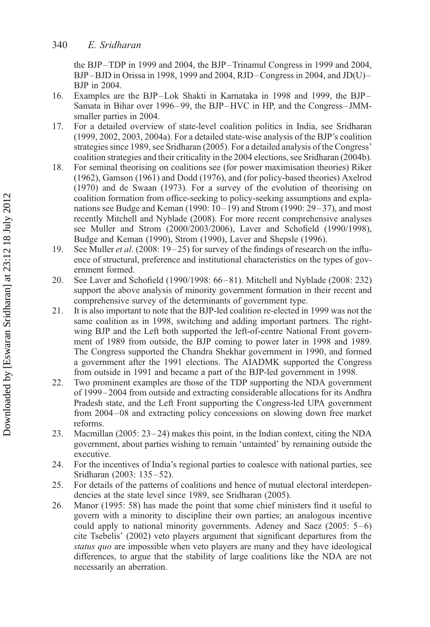the BJP–TDP in 1999 and 2004, the BJP –Trinamul Congress in 1999 and 2004, BJP –BJD in Orissa in 1998, 1999 and 2004, RJD –Congress in 2004, and JD(U) – BJP in 2004.

- 16. Examples are the BJP–Lok Shakti in Karnataka in 1998 and 1999, the BJP Samata in Bihar over 1996–99, the BJP –HVC in HP, and the Congress– JMMsmaller parties in 2004.
- 17. For a detailed overview of state-level coalition politics in India, see Sridharan (1999, 2002, 2003, 2004a). For a detailed state-wise analysis of the BJP's coalition strategies since 1989, see Sridharan (2005). For a detailed analysis of the Congress' coalition strategies and their criticality in the 2004 elections, see Sridharan (2004b).
- 18. For seminal theorising on coalitions see (for power maximisation theories) Riker (1962), Gamson (1961) and Dodd (1976), and (for policy-based theories) Axelrod (1970) and de Swaan (1973). For a survey of the evolution of theorising on coalition formation from office-seeking to policy-seeking assumptions and explanations see Budge and Keman (1990:  $10-19$ ) and Strom (1990:  $29-37$ ), and most recently Mitchell and Nyblade (2008). For more recent comprehensive analyses see Muller and Strom (2000/2003/2006), Laver and Schofield (1990/1998), Budge and Keman (1990), Strom (1990), Laver and Shepsle (1996).
- 19. See Muller et al. (2008: 19–25) for survey of the findings of research on the influence of structural, preference and institutional characteristics on the types of government formed.
- 20. See Laver and Schofield (1990/1998: 66–81). Mitchell and Nyblade (2008: 232) support the above analysis of minority government formation in their recent and comprehensive survey of the determinants of government type.
- 21. It is also important to note that the BJP-led coalition re-elected in 1999 was not the same coalition as in 1998, switching and adding important partners. The rightwing BJP and the Left both supported the left-of-centre National Front government of 1989 from outside, the BJP coming to power later in 1998 and 1989. The Congress supported the Chandra Shekhar government in 1990, and formed a government after the 1991 elections. The AIADMK supported the Congress from outside in 1991 and became a part of the BJP-led government in 1998.
- 22. Two prominent examples are those of the TDP supporting the NDA government of 1999 –2004 from outside and extracting considerable allocations for its Andhra Pradesh state, and the Left Front supporting the Congress-led UPA government from 2004–08 and extracting policy concessions on slowing down free market reforms.
- 23. Macmillan  $(2005: 23-24)$  makes this point, in the Indian context, citing the NDA government, about parties wishing to remain 'untainted' by remaining outside the executive.
- 24. For the incentives of India's regional parties to coalesce with national parties, see Sridharan (2003: 135–52).
- 25. For details of the patterns of coalitions and hence of mutual electoral interdependencies at the state level since 1989, see Sridharan (2005).
- 26. Manor (1995: 58) has made the point that some chief ministers find it useful to govern with a minority to discipline their own parties; an analogous incentive could apply to national minority governments. Adeney and Saez (2005: 5–6) cite Tsebelis' (2002) veto players argument that significant departures from the status quo are impossible when veto players are many and they have ideological differences, to argue that the stability of large coalitions like the NDA are not necessarily an aberration.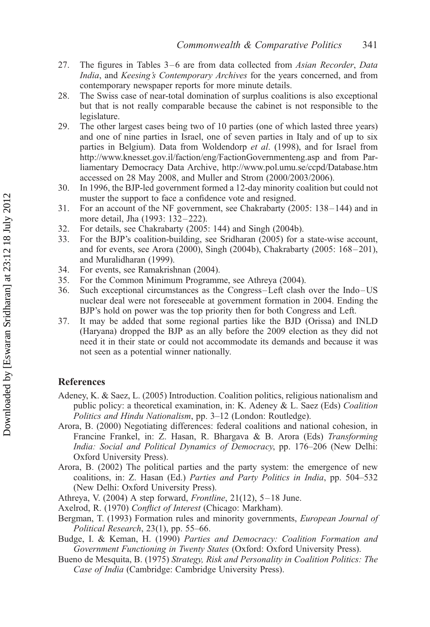- 27. The figures in Tables 3–6 are from data collected from Asian Recorder, Data India, and Keesing's Contemporary Archives for the years concerned, and from contemporary newspaper reports for more minute details.
- 28. The Swiss case of near-total domination of surplus coalitions is also exceptional but that is not really comparable because the cabinet is not responsible to the legislature.
- 29. The other largest cases being two of 10 parties (one of which lasted three years) and one of nine parties in Israel, one of seven parties in Italy and of up to six parties in Belgium). Data from Woldendorp et al. (1998), and for Israel from <http://www.knesset.gov.il/faction/eng/FactionGovernmenteng.asp> and from Parliamentary Democracy Data Archive,<http://www.pol.umu.se/ccpd/Database.htm> accessed on 28 May 2008, and Muller and Strom (2000/2003/2006).
- 30. In 1996, the BJP-led government formed a 12-day minority coalition but could not muster the support to face a confidence vote and resigned.
- 31. For an account of the NF government, see Chakrabarty (2005: 138 –144) and in more detail, Jha (1993: 132-222).
- 32. For details, see Chakrabarty (2005: 144) and Singh (2004b).
- 33. For the BJP's coalition-building, see Sridharan (2005) for a state-wise account, and for events, see Arora (2000), Singh (2004b), Chakrabarty (2005: 168-201), and Muralidharan (1999).
- 34. For events, see Ramakrishnan (2004).
- 35. For the Common Minimum Programme, see Athreya (2004).
- 36. Such exceptional circumstances as the Congress–Left clash over the Indo–US nuclear deal were not foreseeable at government formation in 2004. Ending the BJP's hold on power was the top priority then for both Congress and Left.
- 37. It may be added that some regional parties like the BJD (Orissa) and INLD (Haryana) dropped the BJP as an ally before the 2009 election as they did not need it in their state or could not accommodate its demands and because it was not seen as a potential winner nationally.

#### References

- Adeney, K. & Saez, L. (2005) Introduction. Coalition politics, religious nationalism and public policy: a theoretical examination, in: K. Adeney & L. Saez (Eds) Coalition Politics and Hindu Nationalism, pp. 3–12 (London: Routledge).
- Arora, B. (2000) Negotiating differences: federal coalitions and national cohesion, in Francine Frankel, in: Z. Hasan, R. Bhargava & B. Arora (Eds) Transforming India: Social and Political Dynamics of Democracy, pp. 176–206 (New Delhi: Oxford University Press).
- Arora, B. (2002) The political parties and the party system: the emergence of new coalitions, in: Z. Hasan (Ed.) Parties and Party Politics in India, pp. 504–532 (New Delhi: Oxford University Press).
- Athreya, V. (2004) A step forward, Frontline, 21(12), 5–18 June.
- Axelrod, R. (1970) Conflict of Interest (Chicago: Markham).
- Bergman, T. (1993) Formation rules and minority governments, *European Journal of* Political Research, 23(1), pp. 55–66.
- Budge, I. & Keman, H. (1990) Parties and Democracy: Coalition Formation and Government Functioning in Twenty States (Oxford: Oxford University Press).
- Bueno de Mesquita, B. (1975) Strategy, Risk and Personality in Coalition Politics: The Case of India (Cambridge: Cambridge University Press).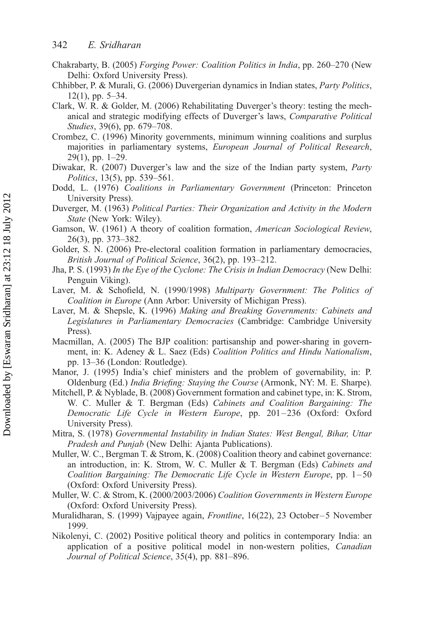- Chakrabarty, B. (2005) Forging Power: Coalition Politics in India, pp. 260–270 (New Delhi: Oxford University Press).
- Chhibber, P. & Murali, G. (2006) Duvergerian dynamics in Indian states, Party Politics, 12(1), pp. 5–34.
- Clark, W. R. & Golder, M. (2006) Rehabilitating Duverger's theory: testing the mechanical and strategic modifying effects of Duverger's laws, Comparative Political Studies, 39(6), pp. 679–708.
- Crombez, C. (1996) Minority governments, minimum winning coalitions and surplus majorities in parliamentary systems, European Journal of Political Research, 29(1), pp. 1–29.
- Diwakar, R. (2007) Duverger's law and the size of the Indian party system, Party Politics, 13(5), pp. 539–561.
- Dodd, L. (1976) Coalitions in Parliamentary Government (Princeton: Princeton University Press).
- Duverger, M. (1963) Political Parties: Their Organization and Activity in the Modern State (New York: Wiley).
- Gamson, W. (1961) A theory of coalition formation, American Sociological Review, 26(3), pp. 373–382.
- Golder, S. N. (2006) Pre-electoral coalition formation in parliamentary democracies, British Journal of Political Science, 36(2), pp. 193–212.
- Jha, P. S. (1993) In the Eye of the Cyclone: The Crisis in Indian Democracy (New Delhi: Penguin Viking).
- Laver, M. & Schofield, N. (1990/1998) Multiparty Government: The Politics of Coalition in Europe (Ann Arbor: University of Michigan Press).
- Laver, M. & Shepsle, K. (1996) Making and Breaking Governments: Cabinets and Legislatures in Parliamentary Democracies (Cambridge: Cambridge University Press).
- Macmillan, A. (2005) The BJP coalition: partisanship and power-sharing in government, in: K. Adeney & L. Saez (Eds) Coalition Politics and Hindu Nationalism, pp. 13–36 (London: Routledge).
- Manor, J. (1995) India's chief ministers and the problem of governability, in: P. Oldenburg (Ed.) India Briefing: Staying the Course (Armonk, NY: M. E. Sharpe).
- Mitchell, P. & Nyblade, B. (2008) Government formation and cabinet type, in: K. Strom, W. C. Muller & T. Bergman (Eds) Cabinets and Coalition Bargaining: The Democratic Life Cycle in Western Europe, pp. 201-236 (Oxford: Oxford University Press).
- Mitra, S. (1978) Governmental Instability in Indian States: West Bengal, Bihar, Uttar Pradesh and Punjab (New Delhi: Ajanta Publications).
- Muller, W. C., Bergman T. & Strom, K. (2008) Coalition theory and cabinet governance: an introduction, in: K. Strom, W. C. Muller & T. Bergman (Eds) Cabinets and Coalition Bargaining: The Democratic Life Cycle in Western Europe, pp. 1–50 (Oxford: Oxford University Press).
- Muller, W. C. & Strom, K. (2000/2003/2006) Coalition Governments in Western Europe (Oxford: Oxford University Press).
- Muralidharan, S. (1999) Vajpayee again, Frontline, 16(22), 23 October –5 November 1999.
- Nikolenyi, C. (2002) Positive political theory and politics in contemporary India: an application of a positive political model in non-western polities, Canadian Journal of Political Science, 35(4), pp. 881–896.